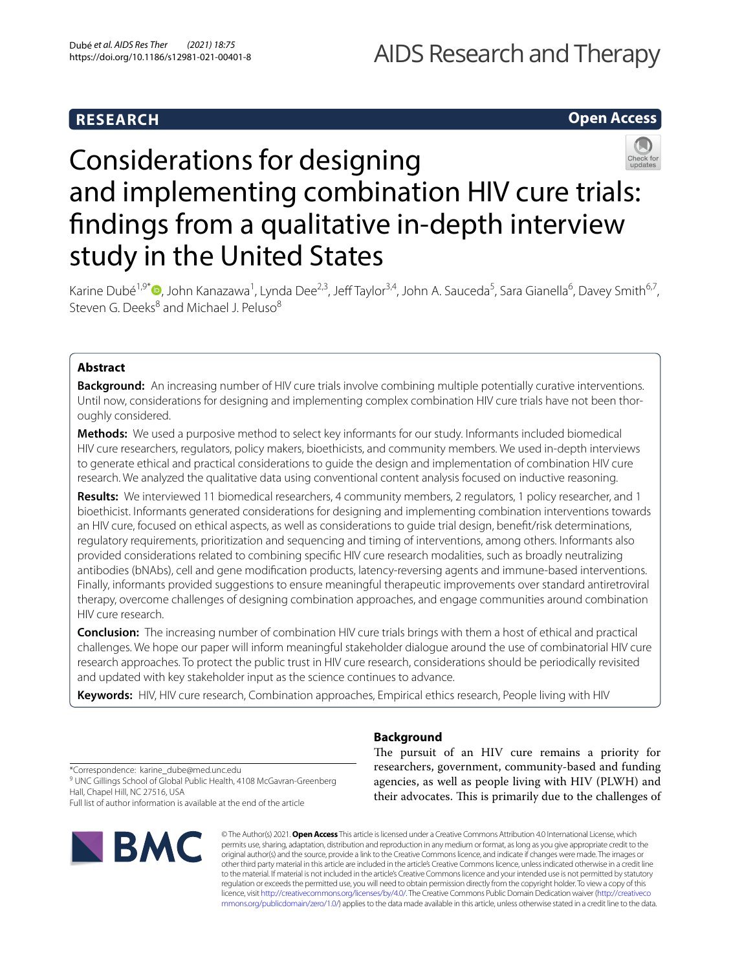# **RESEARCH**

# **Open Access**



# Considerations for designing and implementing combination HIV cure trials: fndings from a qualitative in-depth interview study in the United States

Karine Dubé<sup>1,9\*</sup>®[,](http://orcid.org/0000-0003-3458-1539) John Kanazawa<sup>1</sup>, Lynda Dee<sup>2,3</sup>, Jeff Taylor<sup>3,4</sup>, John A. Sauceda<sup>5</sup>, Sara Gianella<sup>6</sup>, Davey Smith<sup>6,7</sup>, Steven G. Deeks $8$  and Michael J. Peluso $8$ 

# **Abstract**

**Background:** An increasing number of HIV cure trials involve combining multiple potentially curative interventions. Until now, considerations for designing and implementing complex combination HIV cure trials have not been thoroughly considered.

**Methods:** We used a purposive method to select key informants for our study. Informants included biomedical HIV cure researchers, regulators, policy makers, bioethicists, and community members. We used in-depth interviews to generate ethical and practical considerations to guide the design and implementation of combination HIV cure research. We analyzed the qualitative data using conventional content analysis focused on inductive reasoning.

**Results:** We interviewed 11 biomedical researchers, 4 community members, 2 regulators, 1 policy researcher, and 1 bioethicist. Informants generated considerations for designing and implementing combination interventions towards an HIV cure, focused on ethical aspects, as well as considerations to guide trial design, beneft/risk determinations, regulatory requirements, prioritization and sequencing and timing of interventions, among others. Informants also provided considerations related to combining specifc HIV cure research modalities, such as broadly neutralizing antibodies (bNAbs), cell and gene modifcation products, latency-reversing agents and immune-based interventions. Finally, informants provided suggestions to ensure meaningful therapeutic improvements over standard antiretroviral therapy, overcome challenges of designing combination approaches, and engage communities around combination HIV cure research.

**Conclusion:** The increasing number of combination HIV cure trials brings with them a host of ethical and practical challenges. We hope our paper will inform meaningful stakeholder dialogue around the use of combinatorial HIV cure research approaches. To protect the public trust in HIV cure research, considerations should be periodically revisited and updated with key stakeholder input as the science continues to advance.

**Keywords:** HIV, HIV cure research, Combination approaches, Empirical ethics research, People living with HIV

**Background**

The pursuit of an HIV cure remains a priority for researchers, government, community-based and funding agencies, as well as people living with HIV (PLWH) and their advocates. This is primarily due to the challenges of

\*Correspondence: karine\_dube@med.unc.edu <sup>9</sup> UNC Gillings School of Global Public Health, 4108 McGavran-Greenberg Hall, Chapel Hill, NC 27516, USA Full list of author information is available at the end of the article



© The Author(s) 2021. **Open Access** This article is licensed under a Creative Commons Attribution 4.0 International License, which permits use, sharing, adaptation, distribution and reproduction in any medium or format, as long as you give appropriate credit to the original author(s) and the source, provide a link to the Creative Commons licence, and indicate if changes were made. The images or other third party material in this article are included in the article's Creative Commons licence, unless indicated otherwise in a credit line to the material. If material is not included in the article's Creative Commons licence and your intended use is not permitted by statutory regulation or exceeds the permitted use, you will need to obtain permission directly from the copyright holder. To view a copy of this licence, visit [http://creativecommons.org/licenses/by/4.0/.](http://creativecommons.org/licenses/by/4.0/) The Creative Commons Public Domain Dedication waiver ([http://creativeco](http://creativecommons.org/publicdomain/zero/1.0/) [mmons.org/publicdomain/zero/1.0/](http://creativecommons.org/publicdomain/zero/1.0/)) applies to the data made available in this article, unless otherwise stated in a credit line to the data.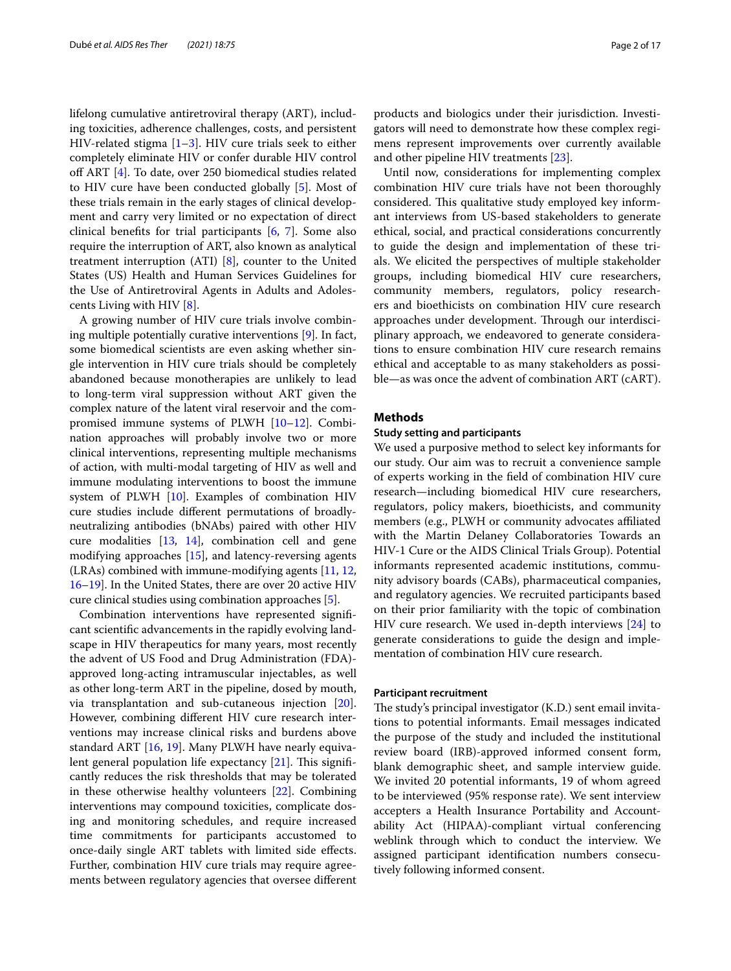lifelong cumulative antiretroviral therapy (ART), including toxicities, adherence challenges, costs, and persistent HIV-related stigma  $[1-3]$  $[1-3]$ . HIV cure trials seek to either completely eliminate HIV or confer durable HIV control of ART [[4\]](#page-15-2). To date, over 250 biomedical studies related to HIV cure have been conducted globally [\[5](#page-15-3)]. Most of these trials remain in the early stages of clinical development and carry very limited or no expectation of direct clinical benefts for trial participants [[6,](#page-15-4) [7](#page-15-5)]. Some also require the interruption of ART, also known as analytical treatment interruption (ATI) [\[8](#page-15-6)], counter to the United States (US) Health and Human Services Guidelines for the Use of Antiretroviral Agents in Adults and Adolescents Living with HIV [\[8](#page-15-6)].

A growing number of HIV cure trials involve combining multiple potentially curative interventions [[9\]](#page-15-7). In fact, some biomedical scientists are even asking whether single intervention in HIV cure trials should be completely abandoned because monotherapies are unlikely to lead to long-term viral suppression without ART given the complex nature of the latent viral reservoir and the compromised immune systems of PLWH [[10](#page-15-8)[–12](#page-15-9)]. Combination approaches will probably involve two or more clinical interventions, representing multiple mechanisms of action, with multi-modal targeting of HIV as well and immune modulating interventions to boost the immune system of PLWH [[10\]](#page-15-8). Examples of combination HIV cure studies include diferent permutations of broadlyneutralizing antibodies (bNAbs) paired with other HIV cure modalities [[13](#page-15-10), [14\]](#page-15-11), combination cell and gene modifying approaches [\[15](#page-15-12)], and latency-reversing agents (LRAs) combined with immune-modifying agents [\[11](#page-15-13), [12](#page-15-9), [16](#page-15-14)[–19](#page-15-15)]. In the United States, there are over 20 active HIV cure clinical studies using combination approaches [\[5\]](#page-15-3).

Combination interventions have represented signifcant scientifc advancements in the rapidly evolving landscape in HIV therapeutics for many years, most recently the advent of US Food and Drug Administration (FDA) approved long-acting intramuscular injectables, as well as other long-term ART in the pipeline, dosed by mouth, via transplantation and sub-cutaneous injection [\[20](#page-15-16)]. However, combining diferent HIV cure research interventions may increase clinical risks and burdens above standard ART [[16](#page-15-14), [19](#page-15-15)]. Many PLWH have nearly equivalent general population life expectancy  $[21]$  $[21]$  $[21]$ . This significantly reduces the risk thresholds that may be tolerated in these otherwise healthy volunteers [[22\]](#page-16-0). Combining interventions may compound toxicities, complicate dosing and monitoring schedules, and require increased time commitments for participants accustomed to once-daily single ART tablets with limited side efects. Further, combination HIV cure trials may require agreements between regulatory agencies that oversee diferent products and biologics under their jurisdiction. Investigators will need to demonstrate how these complex regimens represent improvements over currently available and other pipeline HIV treatments [[23](#page-16-1)].

Until now, considerations for implementing complex combination HIV cure trials have not been thoroughly considered. This qualitative study employed key informant interviews from US-based stakeholders to generate ethical, social, and practical considerations concurrently to guide the design and implementation of these trials. We elicited the perspectives of multiple stakeholder groups, including biomedical HIV cure researchers, community members, regulators, policy researchers and bioethicists on combination HIV cure research approaches under development. Through our interdisciplinary approach, we endeavored to generate considerations to ensure combination HIV cure research remains ethical and acceptable to as many stakeholders as possible—as was once the advent of combination ART (cART).

### **Methods**

#### **Study setting and participants**

We used a purposive method to select key informants for our study. Our aim was to recruit a convenience sample of experts working in the feld of combination HIV cure research—including biomedical HIV cure researchers, regulators, policy makers, bioethicists, and community members (e.g., PLWH or community advocates afliated with the Martin Delaney Collaboratories Towards an HIV-1 Cure or the AIDS Clinical Trials Group). Potential informants represented academic institutions, community advisory boards (CABs), pharmaceutical companies, and regulatory agencies. We recruited participants based on their prior familiarity with the topic of combination HIV cure research. We used in-depth interviews [[24\]](#page-16-2) to generate considerations to guide the design and implementation of combination HIV cure research.

#### **Participant recruitment**

The study's principal investigator  $(K.D.)$  sent email invitations to potential informants. Email messages indicated the purpose of the study and included the institutional review board (IRB)-approved informed consent form, blank demographic sheet, and sample interview guide. We invited 20 potential informants, 19 of whom agreed to be interviewed (95% response rate). We sent interview accepters a Health Insurance Portability and Accountability Act (HIPAA)-compliant virtual conferencing weblink through which to conduct the interview. We assigned participant identifcation numbers consecutively following informed consent.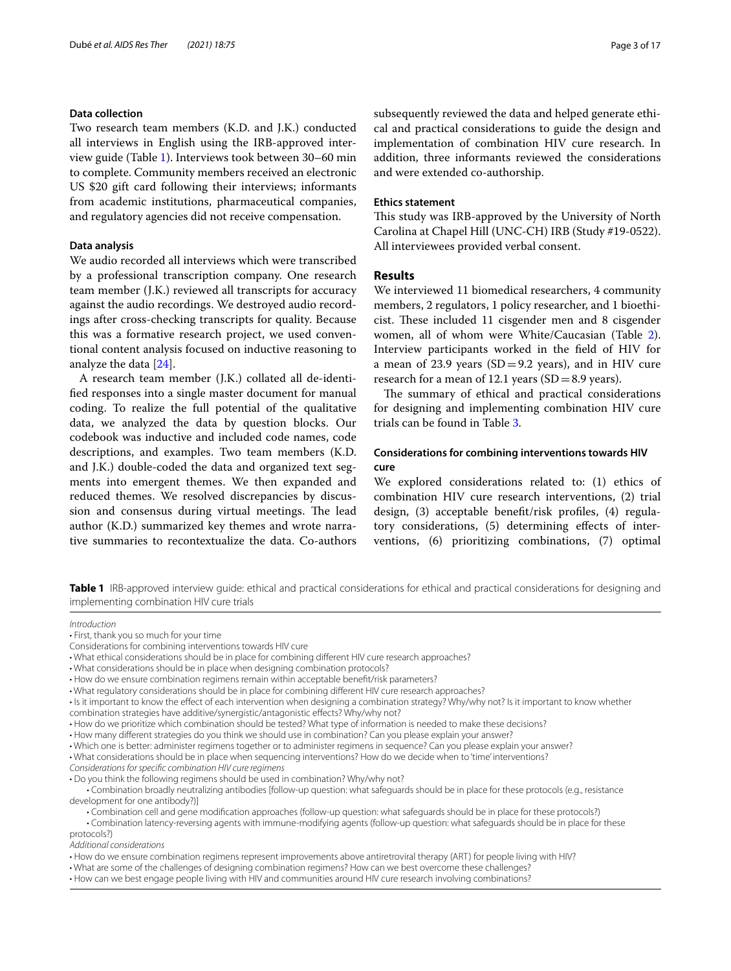#### **Data collection**

Two research team members (K.D. and J.K.) conducted all interviews in English using the IRB-approved interview guide (Table [1\)](#page-2-0). Interviews took between 30–60 min to complete. Community members received an electronic US \$20 gift card following their interviews; informants from academic institutions, pharmaceutical companies, and regulatory agencies did not receive compensation.

# **Data analysis**

We audio recorded all interviews which were transcribed by a professional transcription company. One research team member (J.K.) reviewed all transcripts for accuracy against the audio recordings. We destroyed audio recordings after cross-checking transcripts for quality. Because this was a formative research project, we used conventional content analysis focused on inductive reasoning to analyze the data [[24\]](#page-16-2).

A research team member (J.K.) collated all de-identifed responses into a single master document for manual coding. To realize the full potential of the qualitative data, we analyzed the data by question blocks. Our codebook was inductive and included code names, code descriptions, and examples. Two team members (K.D. and J.K.) double-coded the data and organized text segments into emergent themes. We then expanded and reduced themes. We resolved discrepancies by discussion and consensus during virtual meetings. The lead author (K.D.) summarized key themes and wrote narrative summaries to recontextualize the data. Co-authors subsequently reviewed the data and helped generate ethical and practical considerations to guide the design and implementation of combination HIV cure research. In addition, three informants reviewed the considerations and were extended co-authorship.

#### **Ethics statement**

This study was IRB-approved by the University of North Carolina at Chapel Hill (UNC-CH) IRB (Study #19-0522). All interviewees provided verbal consent.

#### **Results**

We interviewed 11 biomedical researchers, 4 community members, 2 regulators, 1 policy researcher, and 1 bioethicist. These included 11 cisgender men and 8 cisgender women, all of whom were White/Caucasian (Table [2](#page-3-0)). Interview participants worked in the feld of HIV for a mean of 23.9 years ( $SD=9.2$  years), and in HIV cure research for a mean of 12.1 years ( $SD = 8.9$  years).

The summary of ethical and practical considerations for designing and implementing combination HIV cure trials can be found in Table [3.](#page-4-0)

# **Considerations for combining interventions towards HIV cure**

We explored considerations related to: (1) ethics of combination HIV cure research interventions, (2) trial design, (3) acceptable beneft/risk profles, (4) regulatory considerations, (5) determining efects of interventions, (6) prioritizing combinations, (7) optimal

<span id="page-2-0"></span>**Table 1** IRB-approved interview guide: ethical and practical considerations for ethical and practical considerations for designing and implementing combination HIV cure trials

#### *Introduction*

• First, thank you so much for your time

• Is it important to know the efect of each intervention when designing a combination strategy? Why/why not? Is it important to know whether

• What considerations should be in place when sequencing interventions? How do we decide when to 'time' interventions?

*Considerations for specifc combination HIV cure regimens*

• Do you think the following regimens should be used in combination? Why/why not?

 • Combination latency-reversing agents with immune-modifying agents (follow-up question: what safeguards should be in place for these protocols?)

*Additional considerations*

• What are some of the challenges of designing combination regimens? How can we best overcome these challenges?

Considerations for combining interventions towards HIV cure

<sup>•</sup> What ethical considerations should be in place for combining diferent HIV cure research approaches?

<sup>•</sup> What considerations should be in place when designing combination protocols?

<sup>•</sup> How do we ensure combination regimens remain within acceptable beneft/risk parameters?

<sup>•</sup> What regulatory considerations should be in place for combining diferent HIV cure research approaches?

combination strategies have additive/synergistic/antagonistic efects? Why/why not?

<sup>•</sup> How do we prioritize which combination should be tested? What type of information is needed to make these decisions?

<sup>•</sup> How many diferent strategies do you think we should use in combination? Can you please explain your answer?

<sup>•</sup> Which one is better: administer regimens together or to administer regimens in sequence? Can you please explain your answer?

 <sup>•</sup> Combination broadly neutralizing antibodies [follow-up question: what safeguards should be in place for these protocols (e.g., resistance development for one antibody?)]

 <sup>•</sup> Combination cell and gene modifcation approaches (follow-up question: what safeguards should be in place for these protocols?)

<sup>•</sup> How do we ensure combination regimens represent improvements above antiretroviral therapy (ART) for people living with HIV?

<sup>•</sup> How can we best engage people living with HIV and communities around HIV cure research involving combinations?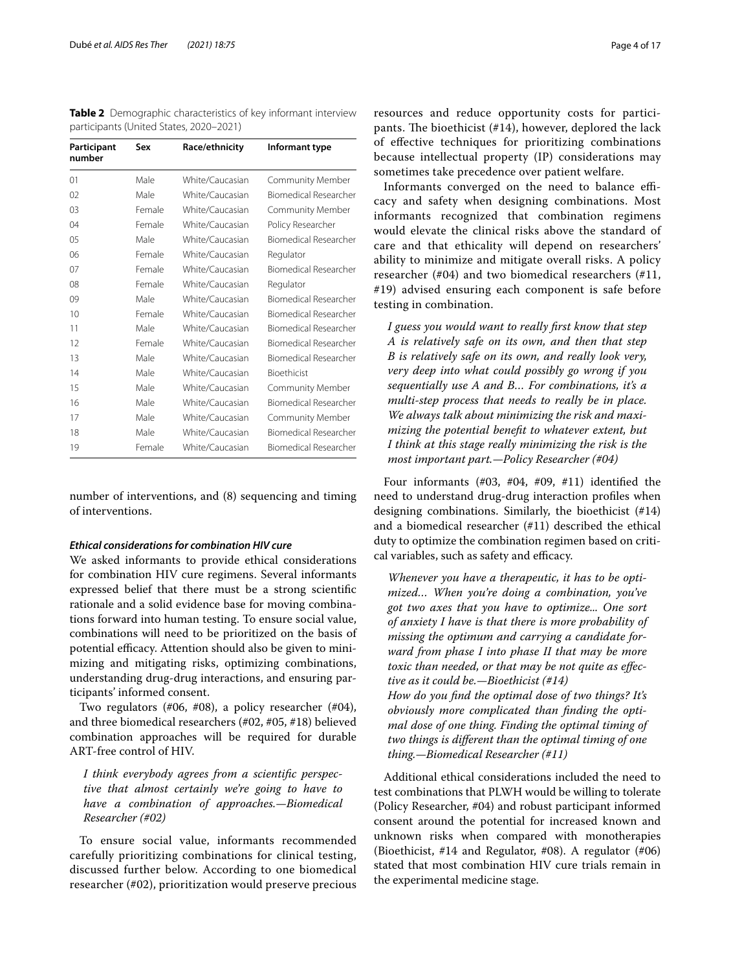<span id="page-3-0"></span>**Table 2** Demographic characteristics of key informant interview participants (United States, 2020–2021)

| Participant<br>number | Sex    | Race/ethnicity  | Informant type               |
|-----------------------|--------|-----------------|------------------------------|
| 01                    | Male   | White/Caucasian | Community Member             |
| 02                    | Male   | White/Caucasian | Biomedical Researcher        |
| 0 <sup>3</sup>        | Female | White/Caucasian | Community Member             |
| 04                    | Female | White/Caucasian | Policy Researcher            |
| 0 <sub>5</sub>        | Male   | White/Caucasian | <b>Biomedical Researcher</b> |
| 06                    | Female | White/Caucasian | Regulator                    |
| 07                    | Female | White/Caucasian | <b>Biomedical Researcher</b> |
| 08                    | Female | White/Caucasian | Regulator                    |
| 09                    | Male   | White/Caucasian | Biomedical Researcher        |
| 10                    | Female | White/Caucasian | <b>Biomedical Researcher</b> |
| 11                    | Male   | White/Caucasian | <b>Biomedical Researcher</b> |
| 12                    | Female | White/Caucasian | Biomedical Researcher        |
| 13                    | Male   | White/Caucasian | <b>Biomedical Researcher</b> |
| 14                    | Male   | White/Caucasian | Bioethicist                  |
| 15                    | Male   | White/Caucasian | Community Member             |
| 16                    | Male   | White/Caucasian | <b>Biomedical Researcher</b> |
| 17                    | Male   | White/Caucasian | Community Member             |
| 18                    | Male   | White/Caucasian | Biomedical Researcher        |
| 19                    | Female | White/Caucasian | <b>Biomedical Researcher</b> |

number of interventions, and (8) sequencing and timing of interventions.

#### *Ethical considerations for combination HIV cure*

We asked informants to provide ethical considerations for combination HIV cure regimens. Several informants expressed belief that there must be a strong scientifc rationale and a solid evidence base for moving combinations forward into human testing. To ensure social value, combinations will need to be prioritized on the basis of potential efficacy. Attention should also be given to minimizing and mitigating risks, optimizing combinations, understanding drug-drug interactions, and ensuring participants' informed consent.

Two regulators (#06, #08), a policy researcher (#04), and three biomedical researchers (#02, #05, #18) believed combination approaches will be required for durable ART-free control of HIV.

*I think everybody agrees from a scientifc perspective that almost certainly we're going to have to have a combination of approaches.—Biomedical Researcher (#02)*

To ensure social value, informants recommended carefully prioritizing combinations for clinical testing, discussed further below. According to one biomedical researcher (#02), prioritization would preserve precious resources and reduce opportunity costs for participants. The bioethicist  $(\text{\#14})$ , however, deplored the lack of efective techniques for prioritizing combinations because intellectual property (IP) considerations may sometimes take precedence over patient welfare.

Informants converged on the need to balance efficacy and safety when designing combinations. Most informants recognized that combination regimens would elevate the clinical risks above the standard of care and that ethicality will depend on researchers' ability to minimize and mitigate overall risks. A policy researcher (#04) and two biomedical researchers (#11, #19) advised ensuring each component is safe before testing in combination.

*I guess you would want to really frst know that step A is relatively safe on its own, and then that step B is relatively safe on its own, and really look very, very deep into what could possibly go wrong if you sequentially use A and B… For combinations, it's a multi-step process that needs to really be in place. We always talk about minimizing the risk and maximizing the potential beneft to whatever extent, but I think at this stage really minimizing the risk is the most important part.—Policy Researcher (#04)*

Four informants (#03, #04, #09, #11) identifed the need to understand drug-drug interaction profles when designing combinations. Similarly, the bioethicist (#14) and a biomedical researcher (#11) described the ethical duty to optimize the combination regimen based on critical variables, such as safety and efficacy.

*Whenever you have a therapeutic, it has to be optimized… When you're doing a combination, you've got two axes that you have to optimize... One sort of anxiety I have is that there is more probability of missing the optimum and carrying a candidate forward from phase I into phase II that may be more toxic than needed, or that may be not quite as efective as it could be.—Bioethicist (#14) How do you fnd the optimal dose of two things? It's obviously more complicated than fnding the optimal dose of one thing. Finding the optimal timing of two things is diferent than the optimal timing of one thing.—Biomedical Researcher (#11)*

Additional ethical considerations included the need to test combinations that PLWH would be willing to tolerate (Policy Researcher, #04) and robust participant informed consent around the potential for increased known and unknown risks when compared with monotherapies (Bioethicist, #14 and Regulator, #08). A regulator (#06) stated that most combination HIV cure trials remain in the experimental medicine stage.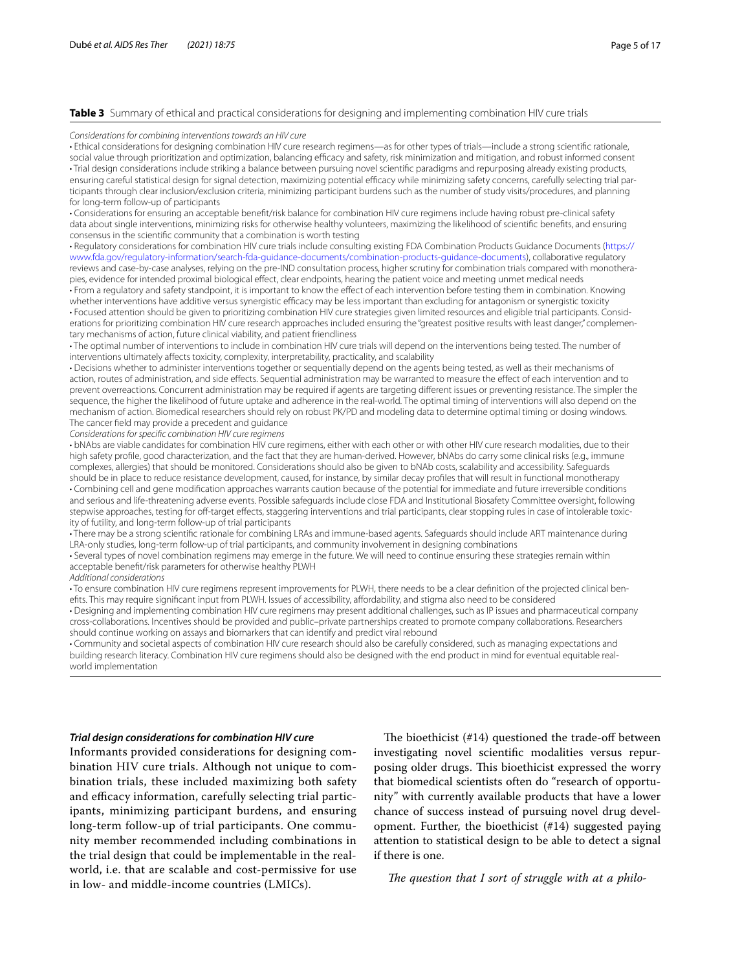#### <span id="page-4-0"></span>**Table 3** Summary of ethical and practical considerations for designing and implementing combination HIV cure trials

*Considerations for combining interventions towards an HIV cure*

• Ethical considerations for designing combination HIV cure research regimens—as for other types of trials—include a strong scientifc rationale, social value through prioritization and optimization, balancing efficacy and safety, risk minimization and mitigation, and robust informed consent • Trial design considerations include striking a balance between pursuing novel scientifc paradigms and repurposing already existing products, ensuring careful statistical design for signal detection, maximizing potential efficacy while minimizing safety concerns, carefully selecting trial participants through clear inclusion/exclusion criteria, minimizing participant burdens such as the number of study visits/procedures, and planning for long-term follow-up of participants

• Considerations for ensuring an acceptable beneft/risk balance for combination HIV cure regimens include having robust pre-clinical safety data about single interventions, minimizing risks for otherwise healthy volunteers, maximizing the likelihood of scientifc benefts, and ensuring consensus in the scientifc community that a combination is worth testing

• Regulatory considerations for combination HIV cure trials include consulting existing FDA Combination Products Guidance Documents [\(https://](https://www.fda.gov/regulatory-information/search-fda-guidance-documents/combination-products-guidance-documents) [www.fda.gov/regulatory-information/search-fda-guidance-documents/combination-products-guidance-documents\)](https://www.fda.gov/regulatory-information/search-fda-guidance-documents/combination-products-guidance-documents), collaborative regulatory reviews and case-by-case analyses, relying on the pre-IND consultation process, higher scrutiny for combination trials compared with monotherapies, evidence for intended proximal biological efect, clear endpoints, hearing the patient voice and meeting unmet medical needs • From a regulatory and safety standpoint, it is important to know the efect of each intervention before testing them in combination. Knowing

whether interventions have additive versus synergistic efficacy may be less important than excluding for antagonism or synergistic toxicity • Focused attention should be given to prioritizing combination HIV cure strategies given limited resources and eligible trial participants. Considerations for prioritizing combination HIV cure research approaches included ensuring the "greatest positive results with least danger," complementary mechanisms of action, future clinical viability, and patient friendliness

• The optimal number of interventions to include in combination HIV cure trials will depend on the interventions being tested. The number of interventions ultimately afects toxicity, complexity, interpretability, practicality, and scalability

• Decisions whether to administer interventions together or sequentially depend on the agents being tested, as well as their mechanisms of action, routes of administration, and side efects. Sequential administration may be warranted to measure the efect of each intervention and to prevent overreactions. Concurrent administration may be required if agents are targeting diferent issues or preventing resistance. The simpler the sequence, the higher the likelihood of future uptake and adherence in the real-world. The optimal timing of interventions will also depend on the mechanism of action. Biomedical researchers should rely on robust PK/PD and modeling data to determine optimal timing or dosing windows. The cancer feld may provide a precedent and guidance

*Considerations for specifc combination HIV cure regimens*

• bNAbs are viable candidates for combination HIV cure regimens, either with each other or with other HIV cure research modalities, due to their high safety profle, good characterization, and the fact that they are human-derived. However, bNAbs do carry some clinical risks (e.g., immune complexes, allergies) that should be monitored. Considerations should also be given to bNAb costs, scalability and accessibility. Safeguards should be in place to reduce resistance development, caused, for instance, by similar decay profles that will result in functional monotherapy • Combining cell and gene modifcation approaches warrants caution because of the potential for immediate and future irreversible conditions and serious and life-threatening adverse events. Possible safeguards include close FDA and Institutional Biosafety Committee oversight, following stepwise approaches, testing for off-target effects, staggering interventions and trial participants, clear stopping rules in case of intolerable toxicity of futility, and long-term follow-up of trial participants

• There may be a strong scientifc rationale for combining LRAs and immune-based agents. Safeguards should include ART maintenance during LRA-only studies, long-term follow-up of trial participants, and community involvement in designing combinations

• Several types of novel combination regimens may emerge in the future. We will need to continue ensuring these strategies remain within acceptable beneft/risk parameters for otherwise healthy PLWH

*Additional considerations*

• To ensure combination HIV cure regimens represent improvements for PLWH, there needs to be a clear defnition of the projected clinical beneftts. This may require significant input from PLWH. Issues of accessibility, affordability, and stigma also need to be considered

• Designing and implementing combination HIV cure regimens may present additional challenges, such as IP issues and pharmaceutical company cross-collaborations. Incentives should be provided and public–private partnerships created to promote company collaborations. Researchers should continue working on assays and biomarkers that can identify and predict viral rebound

• Community and societal aspects of combination HIV cure research should also be carefully considered, such as managing expectations and building research literacy. Combination HIV cure regimens should also be designed with the end product in mind for eventual equitable realworld implementation

#### *Trial design considerations for combination HIV cure*

Informants provided considerations for designing combination HIV cure trials. Although not unique to combination trials, these included maximizing both safety and efficacy information, carefully selecting trial participants, minimizing participant burdens, and ensuring long-term follow-up of trial participants. One community member recommended including combinations in the trial design that could be implementable in the realworld, i.e. that are scalable and cost-permissive for use in low- and middle-income countries (LMICs).

The bioethicist  $(414)$  questioned the trade-off between investigating novel scientifc modalities versus repurposing older drugs. This bioethicist expressed the worry that biomedical scientists often do "research of opportunity" with currently available products that have a lower chance of success instead of pursuing novel drug development. Further, the bioethicist (#14) suggested paying attention to statistical design to be able to detect a signal if there is one.

The question that I sort of struggle with at a philo-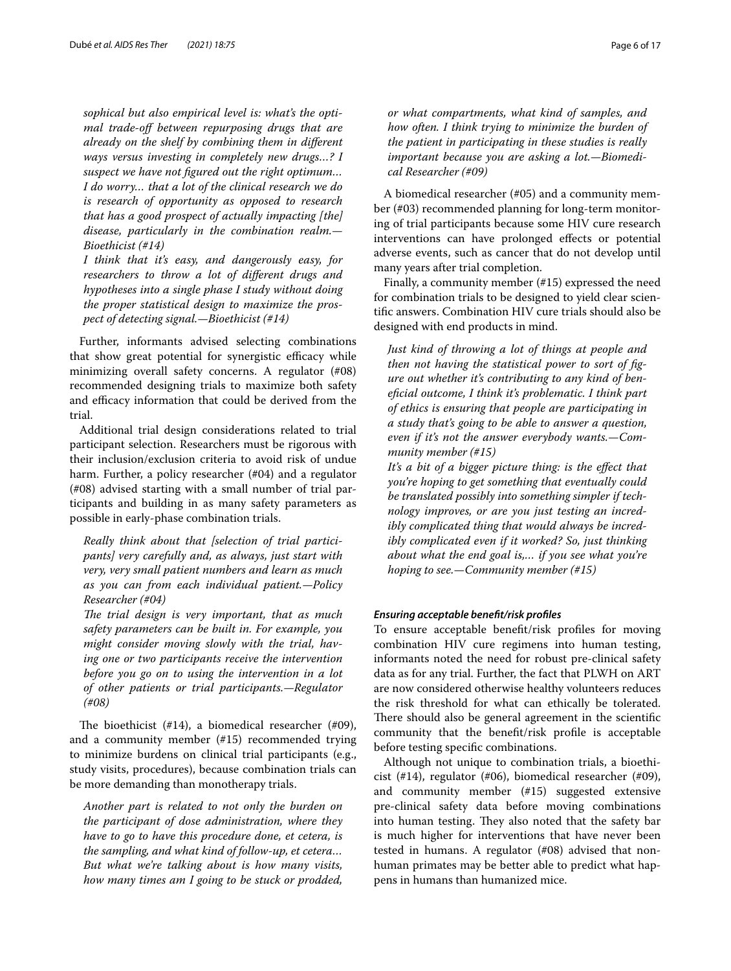*sophical but also empirical level is: what's the optimal trade-of between repurposing drugs that are already on the shelf by combining them in diferent ways versus investing in completely new drugs…? I suspect we have not fgured out the right optimum… I do worry… that a lot of the clinical research we do is research of opportunity as opposed to research that has a good prospect of actually impacting [the] disease, particularly in the combination realm.— Bioethicist (#14)*

*I think that it's easy, and dangerously easy, for researchers to throw a lot of diferent drugs and hypotheses into a single phase I study without doing the proper statistical design to maximize the prospect of detecting signal.—Bioethicist (#14)*

Further, informants advised selecting combinations that show great potential for synergistic efficacy while minimizing overall safety concerns. A regulator (#08) recommended designing trials to maximize both safety and efficacy information that could be derived from the trial.

Additional trial design considerations related to trial participant selection. Researchers must be rigorous with their inclusion/exclusion criteria to avoid risk of undue harm. Further, a policy researcher (#04) and a regulator (#08) advised starting with a small number of trial participants and building in as many safety parameters as possible in early-phase combination trials.

*Really think about that [selection of trial participants] very carefully and, as always, just start with very, very small patient numbers and learn as much as you can from each individual patient.—Policy Researcher (#04)*

The trial design is very important, that as much *safety parameters can be built in. For example, you might consider moving slowly with the trial, having one or two participants receive the intervention before you go on to using the intervention in a lot of other patients or trial participants.—Regulator (#08)*

The bioethicist  $(\#14)$ , a biomedical researcher  $(\#09)$ , and a community member (#15) recommended trying to minimize burdens on clinical trial participants (e.g., study visits, procedures), because combination trials can be more demanding than monotherapy trials.

*Another part is related to not only the burden on the participant of dose administration, where they have to go to have this procedure done, et cetera, is the sampling, and what kind of follow-up, et cetera… But what we're talking about is how many visits, how many times am I going to be stuck or prodded,* 

*or what compartments, what kind of samples, and how often. I think trying to minimize the burden of the patient in participating in these studies is really important because you are asking a lot.—Biomedical Researcher (#09)*

A biomedical researcher (#05) and a community member (#03) recommended planning for long-term monitoring of trial participants because some HIV cure research interventions can have prolonged efects or potential adverse events, such as cancer that do not develop until many years after trial completion.

Finally, a community member (#15) expressed the need for combination trials to be designed to yield clear scientifc answers. Combination HIV cure trials should also be designed with end products in mind.

*Just kind of throwing a lot of things at people and then not having the statistical power to sort of fgure out whether it's contributing to any kind of benefcial outcome, I think it's problematic. I think part of ethics is ensuring that people are participating in a study that's going to be able to answer a question, even if it's not the answer everybody wants.—Community member (#15)*

*It's a bit of a bigger picture thing: is the efect that you're hoping to get something that eventually could be translated possibly into something simpler if technology improves, or are you just testing an incredibly complicated thing that would always be incredibly complicated even if it worked? So, just thinking about what the end goal is,… if you see what you're hoping to see.—Community member (#15)*

#### *Ensuring acceptable beneft/risk profles*

To ensure acceptable beneft/risk profles for moving combination HIV cure regimens into human testing, informants noted the need for robust pre-clinical safety data as for any trial. Further, the fact that PLWH on ART are now considered otherwise healthy volunteers reduces the risk threshold for what can ethically be tolerated. There should also be general agreement in the scientific community that the beneft/risk profle is acceptable before testing specifc combinations.

Although not unique to combination trials, a bioethicist (#14), regulator (#06), biomedical researcher (#09), and community member (#15) suggested extensive pre-clinical safety data before moving combinations into human testing. They also noted that the safety bar is much higher for interventions that have never been tested in humans. A regulator (#08) advised that nonhuman primates may be better able to predict what happens in humans than humanized mice.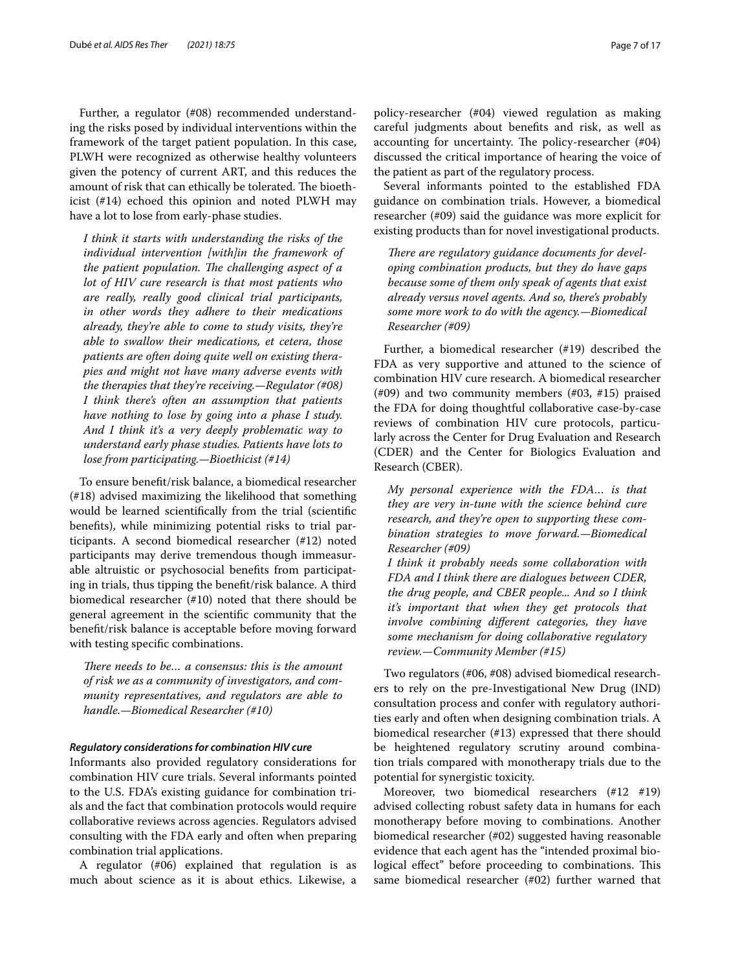Further, a regulator (#08) recommended understanding the risks posed by individual interventions within the framework of the target patient population. In this case, PLWH were recognized as otherwise healthy volunteers given the potency of current ART, and this reduces the amount of risk that can ethically be tolerated. The bioethicist (#14) echoed this opinion and noted PLWH may have a lot to lose from early-phase studies.

*I think it starts with understanding the risks of the individual intervention [with]in the framework of the patient population. The challenging aspect of a lot of HIV cure research is that most patients who are really, really good clinical trial participants, in other words they adhere to their medications already, they're able to come to study visits, they're able to swallow their medications, et cetera, those patients are often doing quite well on existing therapies and might not have many adverse events with the therapies that they're receiving.—Regulator (#08) I think there's often an assumption that patients have nothing to lose by going into a phase I study. And I think it's a very deeply problematic way to understand early phase studies. Patients have lots to lose from participating.—Bioethicist (#14)*

To ensure beneft/risk balance, a biomedical researcher (#18) advised maximizing the likelihood that something would be learned scientifcally from the trial (scientifc benefts), while minimizing potential risks to trial participants. A second biomedical researcher (#12) noted participants may derive tremendous though immeasurable altruistic or psychosocial benefts from participating in trials, thus tipping the beneft/risk balance. A third biomedical researcher (#10) noted that there should be general agreement in the scientifc community that the beneft/risk balance is acceptable before moving forward with testing specifc combinations.

*There needs to be... a consensus: this is the amount of risk we as a community of investigators, and community representatives, and regulators are able to handle.—Biomedical Researcher (#10)*

#### *Regulatory considerations for combination HIV cure*

Informants also provided regulatory considerations for combination HIV cure trials. Several informants pointed to the U.S. FDA's existing guidance for combination trials and the fact that combination protocols would require collaborative reviews across agencies. Regulators advised consulting with the FDA early and often when preparing combination trial applications.

A regulator (#06) explained that regulation is as much about science as it is about ethics. Likewise, a policy-researcher (#04) viewed regulation as making careful judgments about benefts and risk, as well as accounting for uncertainty. The policy-researcher  $(\text{\#}04)$ discussed the critical importance of hearing the voice of the patient as part of the regulatory process.

Several informants pointed to the established FDA guidance on combination trials. However, a biomedical researcher (#09) said the guidance was more explicit for existing products than for novel investigational products.

There are regulatory guidance documents for devel*oping combination products, but they do have gaps because some of them only speak of agents that exist already versus novel agents. And so, there's probably some more work to do with the agency.—Biomedical Researcher (#09)*

Further, a biomedical researcher (#19) described the FDA as very supportive and attuned to the science of combination HIV cure research. A biomedical researcher (#09) and two community members (#03, #15) praised the FDA for doing thoughtful collaborative case-by-case reviews of combination HIV cure protocols, particularly across the Center for Drug Evaluation and Research (CDER) and the Center for Biologics Evaluation and Research (CBER).

*My personal experience with the FDA… is that they are very in-tune with the science behind cure research, and they're open to supporting these combination strategies to move forward.—Biomedical Researcher (#09)*

*I think it probably needs some collaboration with FDA and I think there are dialogues between CDER, the drug people, and CBER people... And so I think it's important that when they get protocols that involve combining diferent categories, they have some mechanism for doing collaborative regulatory review.—Community Member (#15)*

Two regulators (#06, #08) advised biomedical researchers to rely on the pre-Investigational New Drug (IND) consultation process and confer with regulatory authorities early and often when designing combination trials. A biomedical researcher (#13) expressed that there should be heightened regulatory scrutiny around combination trials compared with monotherapy trials due to the potential for synergistic toxicity.

Moreover, two biomedical researchers (#12 #19) advised collecting robust safety data in humans for each monotherapy before moving to combinations. Another biomedical researcher (#02) suggested having reasonable evidence that each agent has the "intended proximal biological effect" before proceeding to combinations. This same biomedical researcher (#02) further warned that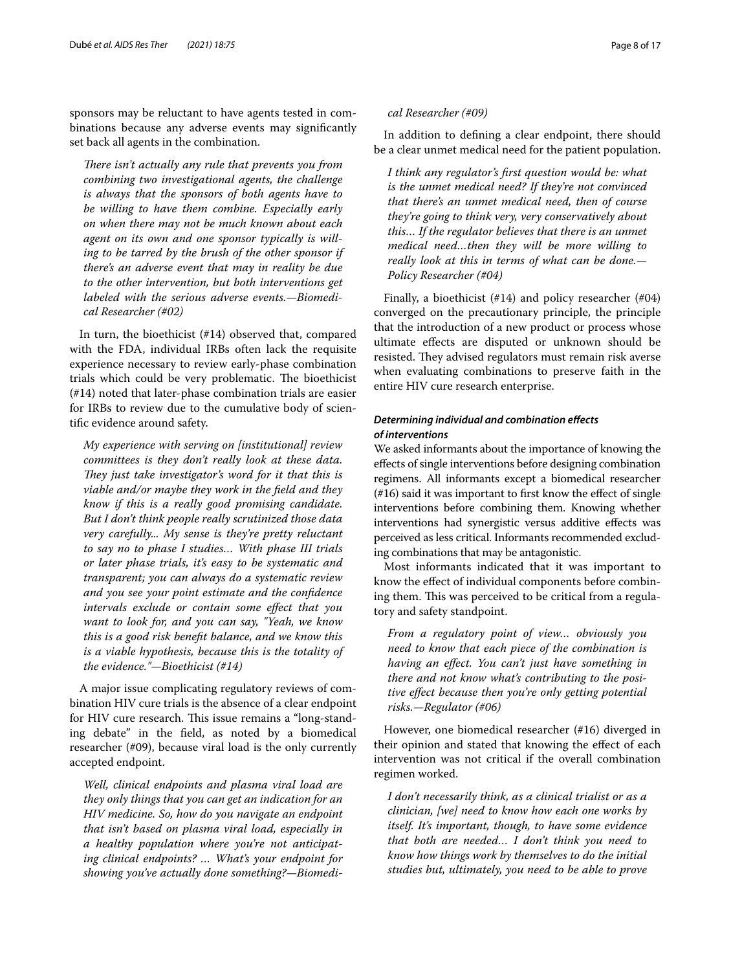sponsors may be reluctant to have agents tested in combinations because any adverse events may signifcantly set back all agents in the combination.

*There isn't actually any rule that prevents you from combining two investigational agents, the challenge is always that the sponsors of both agents have to be willing to have them combine. Especially early on when there may not be much known about each agent on its own and one sponsor typically is willing to be tarred by the brush of the other sponsor if there's an adverse event that may in reality be due to the other intervention, but both interventions get labeled with the serious adverse events.—Biomedical Researcher (#02)*

In turn, the bioethicist (#14) observed that, compared with the FDA, individual IRBs often lack the requisite experience necessary to review early-phase combination trials which could be very problematic. The bioethicist (#14) noted that later-phase combination trials are easier for IRBs to review due to the cumulative body of scientifc evidence around safety.

*My experience with serving on [institutional] review committees is they don't really look at these data. They just take investigator's word for it that this is viable and/or maybe they work in the feld and they know if this is a really good promising candidate. But I don't think people really scrutinized those data very carefully... My sense is they're pretty reluctant to say no to phase I studies… With phase III trials or later phase trials, it's easy to be systematic and transparent; you can always do a systematic review and you see your point estimate and the confdence intervals exclude or contain some efect that you want to look for, and you can say, "Yeah, we know this is a good risk beneft balance, and we know this is a viable hypothesis, because this is the totality of the evidence."—Bioethicist (#14)*

A major issue complicating regulatory reviews of combination HIV cure trials is the absence of a clear endpoint for HIV cure research. This issue remains a "long-standing debate" in the feld, as noted by a biomedical researcher (#09), because viral load is the only currently accepted endpoint.

*Well, clinical endpoints and plasma viral load are they only things that you can get an indication for an HIV medicine. So, how do you navigate an endpoint that isn't based on plasma viral load, especially in a healthy population where you're not anticipating clinical endpoints? … What's your endpoint for showing you've actually done something?—Biomedi-*

### *cal Researcher (#09)*

In addition to defning a clear endpoint, there should be a clear unmet medical need for the patient population.

*I think any regulator's frst question would be: what is the unmet medical need? If they're not convinced that there's an unmet medical need, then of course they're going to think very, very conservatively about this… If the regulator believes that there is an unmet medical need…then they will be more willing to really look at this in terms of what can be done.— Policy Researcher (#04)*

Finally, a bioethicist  $(\text{\#}14)$  and policy researcher  $(\text{\#}04)$ converged on the precautionary principle, the principle that the introduction of a new product or process whose ultimate efects are disputed or unknown should be resisted. They advised regulators must remain risk averse when evaluating combinations to preserve faith in the entire HIV cure research enterprise.

# *Determining individual and combination efects of interventions*

We asked informants about the importance of knowing the efects of single interventions before designing combination regimens. All informants except a biomedical researcher (#16) said it was important to frst know the efect of single interventions before combining them. Knowing whether interventions had synergistic versus additive efects was perceived as less critical. Informants recommended excluding combinations that may be antagonistic.

Most informants indicated that it was important to know the efect of individual components before combining them. This was perceived to be critical from a regulatory and safety standpoint.

*From a regulatory point of view… obviously you need to know that each piece of the combination is having an efect. You can't just have something in there and not know what's contributing to the positive efect because then you're only getting potential risks.—Regulator (#06)*

However, one biomedical researcher (#16) diverged in their opinion and stated that knowing the efect of each intervention was not critical if the overall combination regimen worked.

*I don't necessarily think, as a clinical trialist or as a clinician, [we] need to know how each one works by itself. It's important, though, to have some evidence that both are needed… I don't think you need to know how things work by themselves to do the initial studies but, ultimately, you need to be able to prove*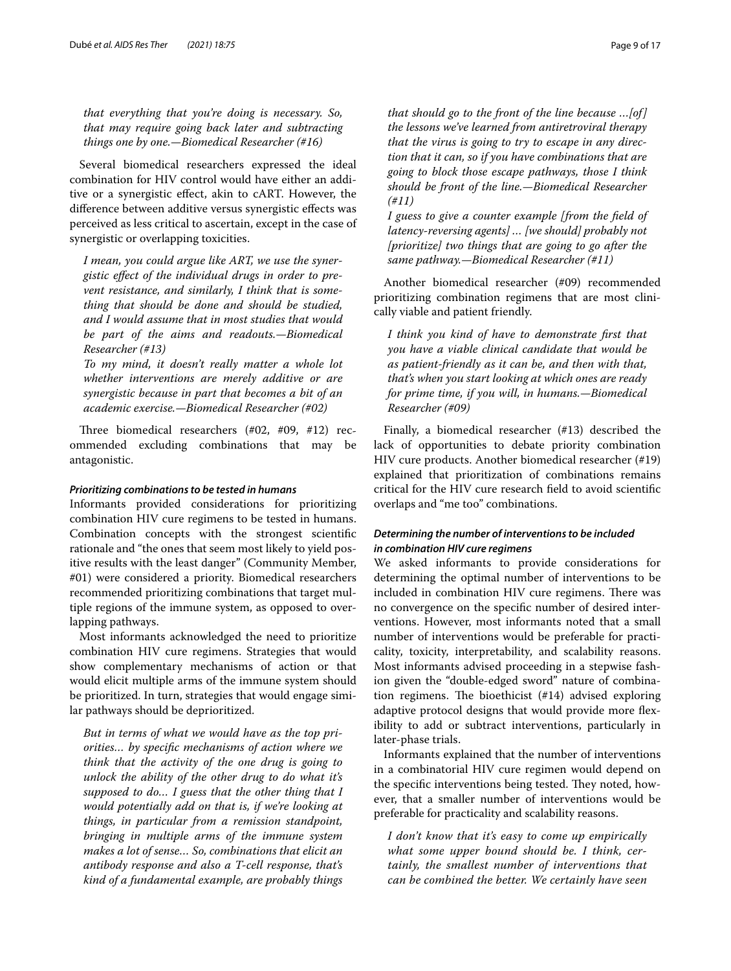*that everything that you're doing is necessary. So, that may require going back later and subtracting things one by one.—Biomedical Researcher (#16)*

Several biomedical researchers expressed the ideal combination for HIV control would have either an additive or a synergistic efect, akin to cART. However, the diference between additive versus synergistic efects was perceived as less critical to ascertain, except in the case of synergistic or overlapping toxicities.

*I mean, you could argue like ART, we use the synergistic efect of the individual drugs in order to prevent resistance, and similarly, I think that is something that should be done and should be studied, and I would assume that in most studies that would be part of the aims and readouts.—Biomedical Researcher (#13)*

*To my mind, it doesn't really matter a whole lot whether interventions are merely additive or are synergistic because in part that becomes a bit of an academic exercise.—Biomedical Researcher (#02)*

Three biomedical researchers  $(\#02, \#09, \#12)$  recommended excluding combinations that may be antagonistic.

# *Prioritizing combinations to be tested in humans*

Informants provided considerations for prioritizing combination HIV cure regimens to be tested in humans. Combination concepts with the strongest scientifc rationale and "the ones that seem most likely to yield positive results with the least danger" (Community Member, #01) were considered a priority. Biomedical researchers recommended prioritizing combinations that target multiple regions of the immune system, as opposed to overlapping pathways.

Most informants acknowledged the need to prioritize combination HIV cure regimens. Strategies that would show complementary mechanisms of action or that would elicit multiple arms of the immune system should be prioritized. In turn, strategies that would engage similar pathways should be deprioritized.

*But in terms of what we would have as the top priorities… by specifc mechanisms of action where we think that the activity of the one drug is going to unlock the ability of the other drug to do what it's supposed to do… I guess that the other thing that I would potentially add on that is, if we're looking at things, in particular from a remission standpoint, bringing in multiple arms of the immune system makes a lot of sense… So, combinations that elicit an antibody response and also a T-cell response, that's kind of a fundamental example, are probably things* 

*that should go to the front of the line because …[of] the lessons we've learned from antiretroviral therapy that the virus is going to try to escape in any direction that it can, so if you have combinations that are going to block those escape pathways, those I think should be front of the line.—Biomedical Researcher (#11)*

*I guess to give a counter example [from the feld of latency-reversing agents] … [we should] probably not [prioritize] two things that are going to go after the same pathway.—Biomedical Researcher (#11)*

Another biomedical researcher (#09) recommended prioritizing combination regimens that are most clinically viable and patient friendly.

*I think you kind of have to demonstrate frst that you have a viable clinical candidate that would be as patient-friendly as it can be, and then with that, that's when you start looking at which ones are ready for prime time, if you will, in humans.—Biomedical Researcher (#09)*

Finally, a biomedical researcher (#13) described the lack of opportunities to debate priority combination HIV cure products. Another biomedical researcher (#19) explained that prioritization of combinations remains critical for the HIV cure research feld to avoid scientifc overlaps and "me too" combinations.

# *Determining the number of interventions to be included in combination HIV cure regimens*

We asked informants to provide considerations for determining the optimal number of interventions to be included in combination HIV cure regimens. There was no convergence on the specifc number of desired interventions. However, most informants noted that a small number of interventions would be preferable for practicality, toxicity, interpretability, and scalability reasons. Most informants advised proceeding in a stepwise fashion given the "double-edged sword" nature of combination regimens. The bioethicist  $(\#14)$  advised exploring adaptive protocol designs that would provide more fexibility to add or subtract interventions, particularly in later-phase trials.

Informants explained that the number of interventions in a combinatorial HIV cure regimen would depend on the specific interventions being tested. They noted, however, that a smaller number of interventions would be preferable for practicality and scalability reasons.

*I don't know that it's easy to come up empirically what some upper bound should be. I think, certainly, the smallest number of interventions that can be combined the better. We certainly have seen*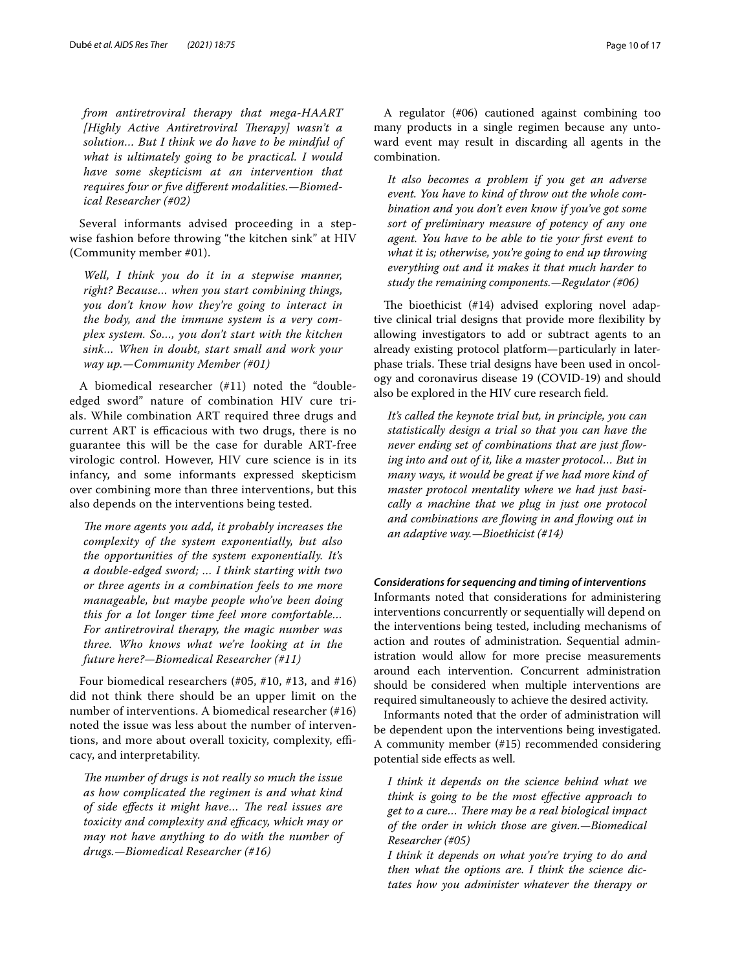*from antiretroviral therapy that mega-HAART*  [Highly Active Antiretroviral Therapy] wasn't a *solution… But I think we do have to be mindful of what is ultimately going to be practical. I would have some skepticism at an intervention that requires four or fve diferent modalities.—Biomedical Researcher (#02)*

Several informants advised proceeding in a stepwise fashion before throwing "the kitchen sink" at HIV (Community member #01).

*Well, I think you do it in a stepwise manner, right? Because… when you start combining things, you don't know how they're going to interact in the body, and the immune system is a very complex system. So…, you don't start with the kitchen sink… When in doubt, start small and work your way up.—Community Member (#01)*

A biomedical researcher (#11) noted the "doubleedged sword" nature of combination HIV cure trials. While combination ART required three drugs and current ART is efficacious with two drugs, there is no guarantee this will be the case for durable ART-free virologic control. However, HIV cure science is in its infancy, and some informants expressed skepticism over combining more than three interventions, but this also depends on the interventions being tested.

The more agents you add, it probably increases the *complexity of the system exponentially, but also the opportunities of the system exponentially. It's a double-edged sword; … I think starting with two or three agents in a combination feels to me more manageable, but maybe people who've been doing this for a lot longer time feel more comfortable… For antiretroviral therapy, the magic number was three. Who knows what we're looking at in the future here?—Biomedical Researcher (#11)*

Four biomedical researchers (#05, #10, #13, and #16) did not think there should be an upper limit on the number of interventions. A biomedical researcher (#16) noted the issue was less about the number of interventions, and more about overall toxicity, complexity, efficacy, and interpretability.

*The number of drugs is not really so much the issue as how complicated the regimen is and what kind of side effects it might have... The real issues are* toxicity and complexity and efficacy, which may or *may not have anything to do with the number of drugs.—Biomedical Researcher (#16)*

A regulator (#06) cautioned against combining too many products in a single regimen because any untoward event may result in discarding all agents in the combination.

*It also becomes a problem if you get an adverse event. You have to kind of throw out the whole combination and you don't even know if you've got some sort of preliminary measure of potency of any one agent. You have to be able to tie your frst event to what it is; otherwise, you're going to end up throwing everything out and it makes it that much harder to study the remaining components.—Regulator (#06)*

The bioethicist  $(#14)$  advised exploring novel adaptive clinical trial designs that provide more fexibility by allowing investigators to add or subtract agents to an already existing protocol platform—particularly in laterphase trials. These trial designs have been used in oncology and coronavirus disease 19 (COVID-19) and should also be explored in the HIV cure research feld.

*It's called the keynote trial but, in principle, you can statistically design a trial so that you can have the never ending set of combinations that are just fowing into and out of it, like a master protocol… But in many ways, it would be great if we had more kind of master protocol mentality where we had just basically a machine that we plug in just one protocol and combinations are fowing in and fowing out in an adaptive way.—Bioethicist (#14)*

# *Considerations for sequencing and timing of interventions*

Informants noted that considerations for administering interventions concurrently or sequentially will depend on the interventions being tested, including mechanisms of action and routes of administration. Sequential administration would allow for more precise measurements around each intervention. Concurrent administration should be considered when multiple interventions are required simultaneously to achieve the desired activity.

Informants noted that the order of administration will be dependent upon the interventions being investigated. A community member (#15) recommended considering potential side efects as well.

*I think it depends on the science behind what we think is going to be the most efective approach to*  get to a cure... There may be a real biological impact *of the order in which those are given.—Biomedical Researcher (#05)*

*I think it depends on what you're trying to do and then what the options are. I think the science dictates how you administer whatever the therapy or*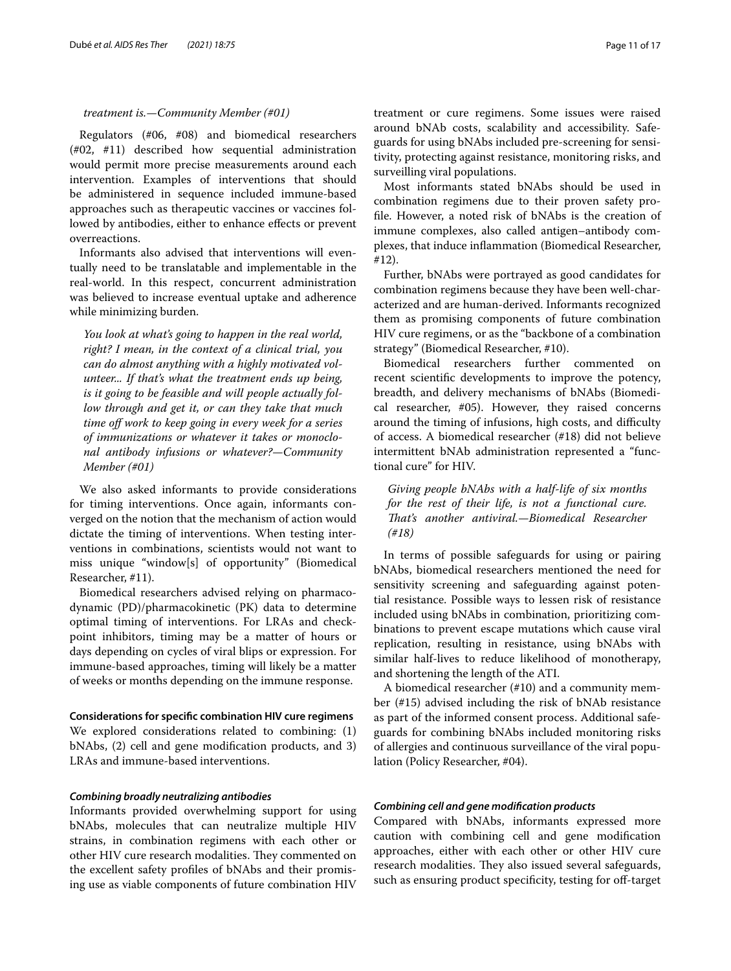#### *treatment is.—Community Member (#01)*

Regulators (#06, #08) and biomedical researchers (#02, #11) described how sequential administration would permit more precise measurements around each intervention. Examples of interventions that should be administered in sequence included immune-based approaches such as therapeutic vaccines or vaccines followed by antibodies, either to enhance efects or prevent overreactions.

Informants also advised that interventions will eventually need to be translatable and implementable in the real-world. In this respect, concurrent administration was believed to increase eventual uptake and adherence while minimizing burden.

*You look at what's going to happen in the real world, right? I mean, in the context of a clinical trial, you can do almost anything with a highly motivated volunteer... If that's what the treatment ends up being, is it going to be feasible and will people actually follow through and get it, or can they take that much time of work to keep going in every week for a series of immunizations or whatever it takes or monoclonal antibody infusions or whatever?—Community Member (#01)*

We also asked informants to provide considerations for timing interventions. Once again, informants converged on the notion that the mechanism of action would dictate the timing of interventions. When testing interventions in combinations, scientists would not want to miss unique "window[s] of opportunity" (Biomedical Researcher, #11).

Biomedical researchers advised relying on pharmacodynamic (PD)/pharmacokinetic (PK) data to determine optimal timing of interventions. For LRAs and checkpoint inhibitors, timing may be a matter of hours or days depending on cycles of viral blips or expression. For immune-based approaches, timing will likely be a matter of weeks or months depending on the immune response.

**Considerations for specifc combination HIV cure regimens** We explored considerations related to combining: (1) bNAbs, (2) cell and gene modifcation products, and 3) LRAs and immune-based interventions.

# *Combining broadly neutralizing antibodies*

Informants provided overwhelming support for using bNAbs, molecules that can neutralize multiple HIV strains, in combination regimens with each other or other HIV cure research modalities. They commented on the excellent safety profles of bNAbs and their promising use as viable components of future combination HIV treatment or cure regimens. Some issues were raised around bNAb costs, scalability and accessibility. Safeguards for using bNAbs included pre-screening for sensitivity, protecting against resistance, monitoring risks, and surveilling viral populations.

Most informants stated bNAbs should be used in combination regimens due to their proven safety profle. However, a noted risk of bNAbs is the creation of immune complexes, also called antigen–antibody complexes, that induce infammation (Biomedical Researcher, #12).

Further, bNAbs were portrayed as good candidates for combination regimens because they have been well-characterized and are human-derived. Informants recognized them as promising components of future combination HIV cure regimens, or as the "backbone of a combination strategy" (Biomedical Researcher, #10).

Biomedical researchers further commented on recent scientifc developments to improve the potency, breadth, and delivery mechanisms of bNAbs (Biomedical researcher, #05). However, they raised concerns around the timing of infusions, high costs, and difficulty of access. A biomedical researcher (#18) did not believe intermittent bNAb administration represented a "functional cure" for HIV.

*Giving people bNAbs with a half-life of six months for the rest of their life, is not a functional cure. Tat's another antiviral.—Biomedical Researcher (#18)*

In terms of possible safeguards for using or pairing bNAbs, biomedical researchers mentioned the need for sensitivity screening and safeguarding against potential resistance. Possible ways to lessen risk of resistance included using bNAbs in combination, prioritizing combinations to prevent escape mutations which cause viral replication, resulting in resistance, using bNAbs with similar half-lives to reduce likelihood of monotherapy, and shortening the length of the ATI.

A biomedical researcher (#10) and a community member (#15) advised including the risk of bNAb resistance as part of the informed consent process. Additional safeguards for combining bNAbs included monitoring risks of allergies and continuous surveillance of the viral population (Policy Researcher, #04).

#### *Combining cell and gene modifcation products*

Compared with bNAbs, informants expressed more caution with combining cell and gene modifcation approaches, either with each other or other HIV cure research modalities. They also issued several safeguards, such as ensuring product specificity, testing for off-target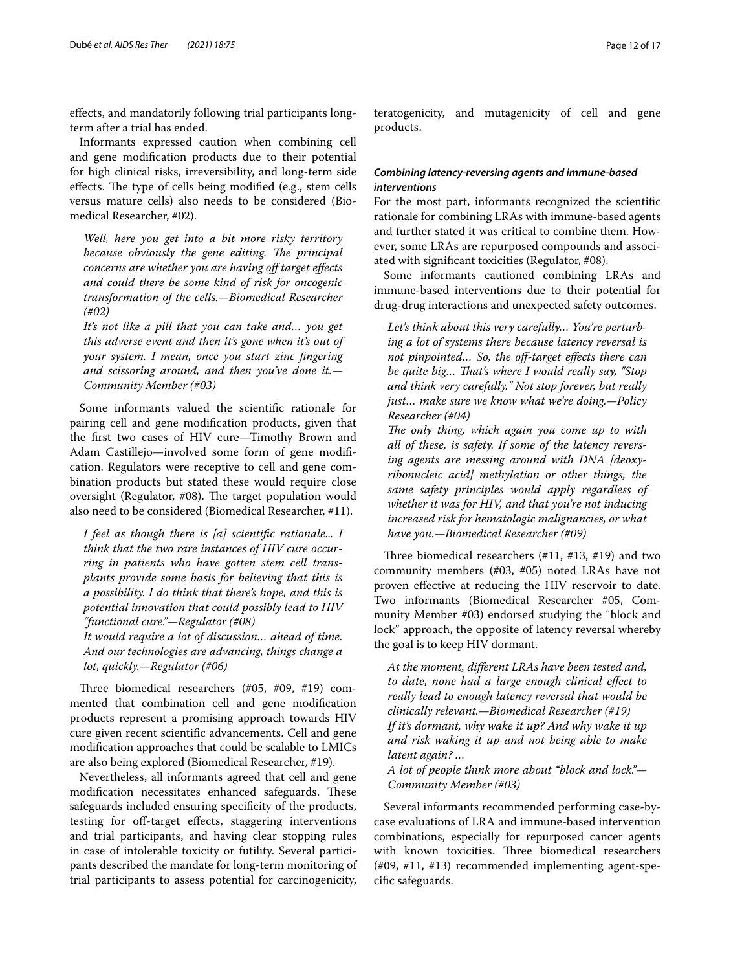efects, and mandatorily following trial participants longterm after a trial has ended.

Informants expressed caution when combining cell and gene modifcation products due to their potential for high clinical risks, irreversibility, and long-term side effects. The type of cells being modified (e.g., stem cells versus mature cells) also needs to be considered (Biomedical Researcher, #02).

*Well, here you get into a bit more risky territory because obviously the gene editing. The principal concerns are whether you are having of target efects and could there be some kind of risk for oncogenic transformation of the cells.—Biomedical Researcher (#02)*

*It's not like a pill that you can take and… you get this adverse event and then it's gone when it's out of your system. I mean, once you start zinc fngering and scissoring around, and then you've done it.— Community Member (#03)*

Some informants valued the scientifc rationale for pairing cell and gene modifcation products, given that the frst two cases of HIV cure—Timothy Brown and Adam Castillejo—involved some form of gene modifcation. Regulators were receptive to cell and gene combination products but stated these would require close oversight (Regulator,  $#08$ ). The target population would also need to be considered (Biomedical Researcher, #11).

*I feel as though there is [a] scientifc rationale... I think that the two rare instances of HIV cure occurring in patients who have gotten stem cell transplants provide some basis for believing that this is a possibility. I do think that there's hope, and this is potential innovation that could possibly lead to HIV "functional cure."—Regulator (#08)*

*It would require a lot of discussion… ahead of time. And our technologies are advancing, things change a lot, quickly.—Regulator (#06)*

Three biomedical researchers  $(\#05, \#09, \#19)$  commented that combination cell and gene modifcation products represent a promising approach towards HIV cure given recent scientifc advancements. Cell and gene modifcation approaches that could be scalable to LMICs are also being explored (Biomedical Researcher, #19).

Nevertheless, all informants agreed that cell and gene modification necessitates enhanced safeguards. These safeguards included ensuring specifcity of the products, testing for off-target effects, staggering interventions and trial participants, and having clear stopping rules in case of intolerable toxicity or futility. Several participants described the mandate for long-term monitoring of trial participants to assess potential for carcinogenicity,

teratogenicity, and mutagenicity of cell and gene products.

# *Combining latency‑reversing agents and immune‑based interventions*

For the most part, informants recognized the scientifc rationale for combining LRAs with immune-based agents and further stated it was critical to combine them. However, some LRAs are repurposed compounds and associated with signifcant toxicities (Regulator, #08).

Some informants cautioned combining LRAs and immune-based interventions due to their potential for drug-drug interactions and unexpected safety outcomes.

*Let's think about this very carefully… You're perturbing a lot of systems there because latency reversal is not pinpointed… So, the of-target efects there can be quite big… Tat's where I would really say, "Stop and think very carefully." Not stop forever, but really just… make sure we know what we're doing.—Policy Researcher (#04)*

*The only thing, which again you come up to with all of these, is safety. If some of the latency reversing agents are messing around with DNA [deoxyribonucleic acid] methylation or other things, the same safety principles would apply regardless of whether it was for HIV, and that you're not inducing increased risk for hematologic malignancies, or what have you.—Biomedical Researcher (#09)*

Three biomedical researchers  $(\#11, \#13, \#19)$  and two community members (#03, #05) noted LRAs have not proven efective at reducing the HIV reservoir to date. Two informants (Biomedical Researcher #05, Community Member #03) endorsed studying the "block and lock" approach, the opposite of latency reversal whereby the goal is to keep HIV dormant.

*At the moment, diferent LRAs have been tested and, to date, none had a large enough clinical efect to really lead to enough latency reversal that would be clinically relevant.—Biomedical Researcher (#19) If it's dormant, why wake it up? And why wake it up and risk waking it up and not being able to make latent again? …*

*A lot of people think more about "block and lock."— Community Member (#03)*

Several informants recommended performing case-bycase evaluations of LRA and immune-based intervention combinations, especially for repurposed cancer agents with known toxicities. Three biomedical researchers (#09, #11, #13) recommended implementing agent-specifc safeguards.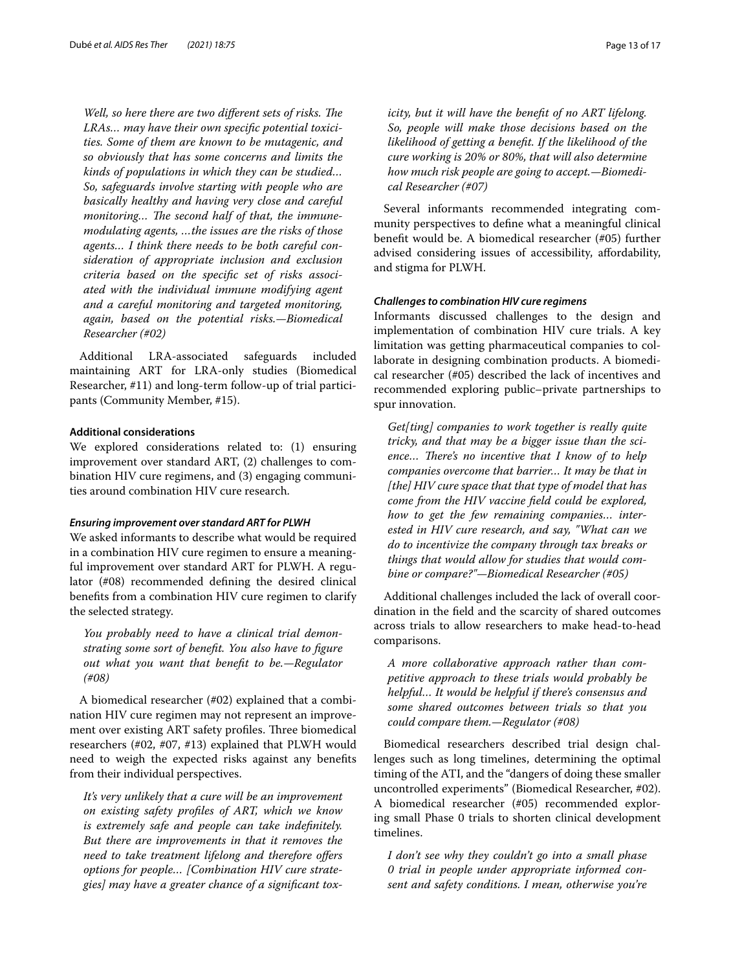*Well, so here there are two different sets of risks. The LRAs… may have their own specifc potential toxicities. Some of them are known to be mutagenic, and so obviously that has some concerns and limits the kinds of populations in which they can be studied… So, safeguards involve starting with people who are basically healthy and having very close and careful monitoring...* The second half of that, the immune*modulating agents, …the issues are the risks of those agents… I think there needs to be both careful consideration of appropriate inclusion and exclusion criteria based on the specifc set of risks associated with the individual immune modifying agent and a careful monitoring and targeted monitoring, again, based on the potential risks.—Biomedical Researcher (#02)*

Additional LRA-associated safeguards included maintaining ART for LRA-only studies (Biomedical Researcher, #11) and long-term follow-up of trial participants (Community Member, #15).

#### **Additional considerations**

We explored considerations related to: (1) ensuring improvement over standard ART, (2) challenges to combination HIV cure regimens, and (3) engaging communities around combination HIV cure research.

#### *Ensuring improvement over standard ART for PLWH*

We asked informants to describe what would be required in a combination HIV cure regimen to ensure a meaningful improvement over standard ART for PLWH. A regulator (#08) recommended defning the desired clinical benefts from a combination HIV cure regimen to clarify the selected strategy.

*You probably need to have a clinical trial demonstrating some sort of beneft. You also have to fgure out what you want that beneft to be.—Regulator (#08)*

A biomedical researcher (#02) explained that a combination HIV cure regimen may not represent an improvement over existing ART safety profiles. Three biomedical researchers (#02, #07, #13) explained that PLWH would need to weigh the expected risks against any benefts from their individual perspectives.

*It's very unlikely that a cure will be an improvement on existing safety profles of ART, which we know is extremely safe and people can take indefnitely. But there are improvements in that it removes the need to take treatment lifelong and therefore ofers options for people… [Combination HIV cure strategies] may have a greater chance of a signifcant tox-* *icity, but it will have the beneft of no ART lifelong. So, people will make those decisions based on the likelihood of getting a beneft. If the likelihood of the cure working is 20% or 80%, that will also determine how much risk people are going to accept.—Biomedical Researcher (#07)*

Several informants recommended integrating community perspectives to defne what a meaningful clinical beneft would be. A biomedical researcher (#05) further advised considering issues of accessibility, afordability, and stigma for PLWH.

#### *Challenges to combination HIV cure regimens*

Informants discussed challenges to the design and implementation of combination HIV cure trials. A key limitation was getting pharmaceutical companies to collaborate in designing combination products. A biomedical researcher (#05) described the lack of incentives and recommended exploring public–private partnerships to spur innovation.

*Get[ting] companies to work together is really quite tricky, and that may be a bigger issue than the sci*ence... There's no incentive that I know of to help *companies overcome that barrier… It may be that in [the] HIV cure space that that type of model that has come from the HIV vaccine feld could be explored, how to get the few remaining companies… interested in HIV cure research, and say, "What can we do to incentivize the company through tax breaks or things that would allow for studies that would combine or compare?"—Biomedical Researcher (#05)*

Additional challenges included the lack of overall coordination in the feld and the scarcity of shared outcomes across trials to allow researchers to make head-to-head comparisons.

*A more collaborative approach rather than competitive approach to these trials would probably be helpful… It would be helpful if there's consensus and some shared outcomes between trials so that you could compare them.—Regulator (#08)*

Biomedical researchers described trial design challenges such as long timelines, determining the optimal timing of the ATI, and the "dangers of doing these smaller uncontrolled experiments" (Biomedical Researcher, #02). A biomedical researcher (#05) recommended exploring small Phase 0 trials to shorten clinical development timelines.

*I don't see why they couldn't go into a small phase 0 trial in people under appropriate informed consent and safety conditions. I mean, otherwise you're*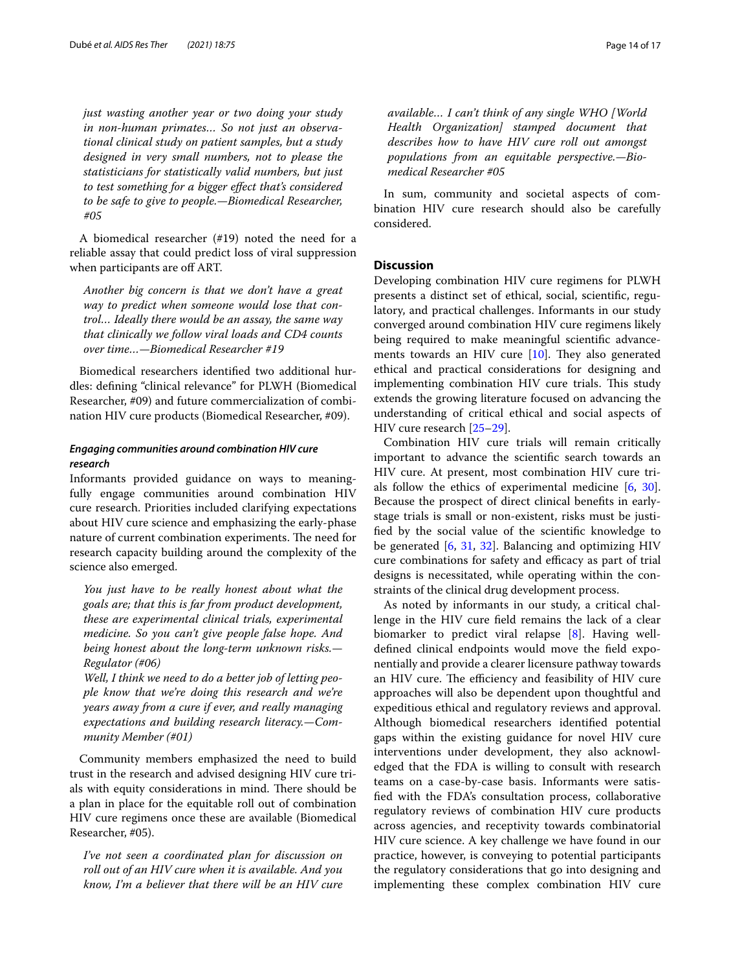*just wasting another year or two doing your study in non-human primates… So not just an observational clinical study on patient samples, but a study designed in very small numbers, not to please the statisticians for statistically valid numbers, but just to test something for a bigger efect that's considered to be safe to give to people.—Biomedical Researcher, #05*

A biomedical researcher (#19) noted the need for a reliable assay that could predict loss of viral suppression when participants are off ART.

*Another big concern is that we don't have a great way to predict when someone would lose that control… Ideally there would be an assay, the same way that clinically we follow viral loads and CD4 counts over time…—Biomedical Researcher #19*

Biomedical researchers identifed two additional hurdles: defning "clinical relevance" for PLWH (Biomedical Researcher, #09) and future commercialization of combination HIV cure products (Biomedical Researcher, #09).

# *Engaging communities around combination HIV cure research*

Informants provided guidance on ways to meaningfully engage communities around combination HIV cure research. Priorities included clarifying expectations about HIV cure science and emphasizing the early-phase nature of current combination experiments. The need for research capacity building around the complexity of the science also emerged.

*You just have to be really honest about what the goals are; that this is far from product development, these are experimental clinical trials, experimental medicine. So you can't give people false hope. And being honest about the long-term unknown risks.— Regulator (#06)*

*Well, I think we need to do a better job of letting people know that we're doing this research and we're years away from a cure if ever, and really managing expectations and building research literacy.—Community Member (#01)*

Community members emphasized the need to build trust in the research and advised designing HIV cure trials with equity considerations in mind. There should be a plan in place for the equitable roll out of combination HIV cure regimens once these are available (Biomedical Researcher, #05).

*I've not seen a coordinated plan for discussion on roll out of an HIV cure when it is available. And you know, I'm a believer that there will be an HIV cure*  *available… I can't think of any single WHO [World Health Organization] stamped document that describes how to have HIV cure roll out amongst populations from an equitable perspective.—Biomedical Researcher #05*

In sum, community and societal aspects of combination HIV cure research should also be carefully considered.

## **Discussion**

Developing combination HIV cure regimens for PLWH presents a distinct set of ethical, social, scientifc, regulatory, and practical challenges. Informants in our study converged around combination HIV cure regimens likely being required to make meaningful scientifc advancements towards an HIV cure  $[10]$  $[10]$  $[10]$ . They also generated ethical and practical considerations for designing and implementing combination HIV cure trials. This study extends the growing literature focused on advancing the understanding of critical ethical and social aspects of HIV cure research [\[25](#page-16-3)–[29\]](#page-16-4).

Combination HIV cure trials will remain critically important to advance the scientifc search towards an HIV cure. At present, most combination HIV cure trials follow the ethics of experimental medicine [[6,](#page-15-4) [30](#page-16-5)]. Because the prospect of direct clinical benefts in earlystage trials is small or non-existent, risks must be justifed by the social value of the scientifc knowledge to be generated [[6,](#page-15-4) [31,](#page-16-6) [32](#page-16-7)]. Balancing and optimizing HIV cure combinations for safety and efficacy as part of trial designs is necessitated, while operating within the constraints of the clinical drug development process.

As noted by informants in our study, a critical challenge in the HIV cure feld remains the lack of a clear biomarker to predict viral relapse [\[8](#page-15-6)]. Having welldefned clinical endpoints would move the feld exponentially and provide a clearer licensure pathway towards an HIV cure. The efficiency and feasibility of HIV cure approaches will also be dependent upon thoughtful and expeditious ethical and regulatory reviews and approval. Although biomedical researchers identifed potential gaps within the existing guidance for novel HIV cure interventions under development, they also acknowledged that the FDA is willing to consult with research teams on a case-by-case basis. Informants were satisfed with the FDA's consultation process, collaborative regulatory reviews of combination HIV cure products across agencies, and receptivity towards combinatorial HIV cure science. A key challenge we have found in our practice, however, is conveying to potential participants the regulatory considerations that go into designing and implementing these complex combination HIV cure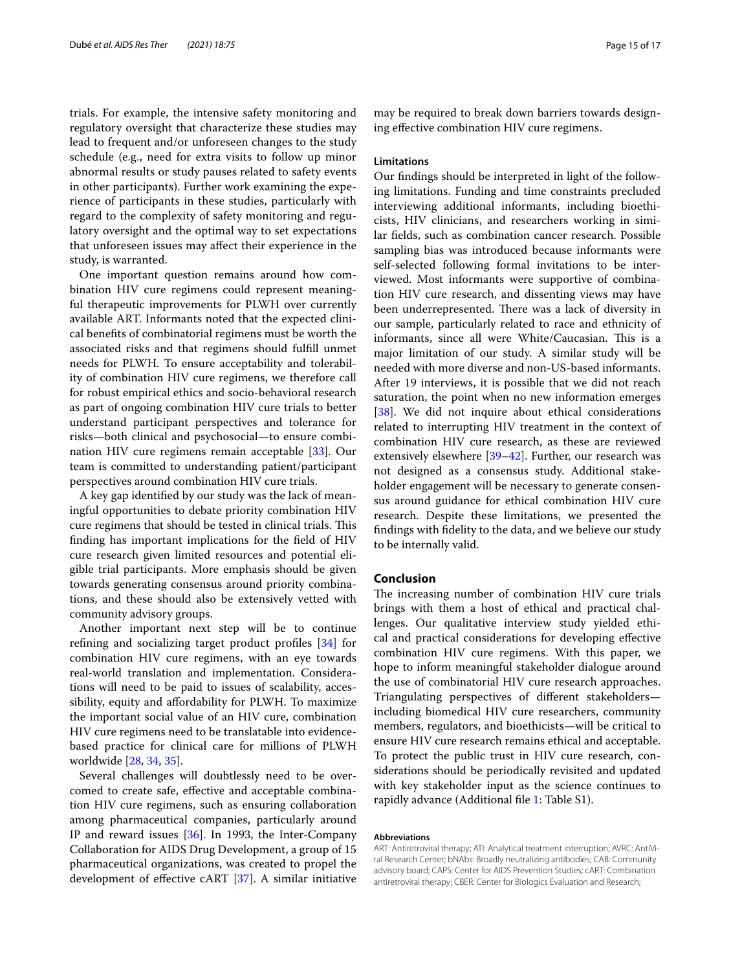trials. For example, the intensive safety monitoring and regulatory oversight that characterize these studies may lead to frequent and/or unforeseen changes to the study schedule (e.g., need for extra visits to follow up minor abnormal results or study pauses related to safety events in other participants). Further work examining the experience of participants in these studies, particularly with regard to the complexity of safety monitoring and regulatory oversight and the optimal way to set expectations that unforeseen issues may afect their experience in the study, is warranted.

One important question remains around how combination HIV cure regimens could represent meaningful therapeutic improvements for PLWH over currently available ART. Informants noted that the expected clinical benefts of combinatorial regimens must be worth the associated risks and that regimens should fulfll unmet needs for PLWH. To ensure acceptability and tolerability of combination HIV cure regimens, we therefore call for robust empirical ethics and socio-behavioral research as part of ongoing combination HIV cure trials to better understand participant perspectives and tolerance for risks—both clinical and psychosocial—to ensure combination HIV cure regimens remain acceptable [[33](#page-16-8)]. Our team is committed to understanding patient/participant perspectives around combination HIV cure trials.

A key gap identifed by our study was the lack of meaningful opportunities to debate priority combination HIV cure regimens that should be tested in clinical trials. This fnding has important implications for the feld of HIV cure research given limited resources and potential eligible trial participants. More emphasis should be given towards generating consensus around priority combinations, and these should also be extensively vetted with community advisory groups.

Another important next step will be to continue refning and socializing target product profles [[34](#page-16-9)] for combination HIV cure regimens, with an eye towards real-world translation and implementation. Considerations will need to be paid to issues of scalability, accessibility, equity and afordability for PLWH. To maximize the important social value of an HIV cure, combination HIV cure regimens need to be translatable into evidencebased practice for clinical care for millions of PLWH worldwide [\[28](#page-16-10), [34](#page-16-9), [35\]](#page-16-11).

Several challenges will doubtlessly need to be overcomed to create safe, efective and acceptable combination HIV cure regimens, such as ensuring collaboration among pharmaceutical companies, particularly around IP and reward issues [[36](#page-16-12)]. In 1993, the Inter-Company Collaboration for AIDS Drug Development, a group of 15 pharmaceutical organizations, was created to propel the development of efective cART [\[37](#page-16-13)]. A similar initiative may be required to break down barriers towards designing efective combination HIV cure regimens.

#### **Limitations**

Our fndings should be interpreted in light of the following limitations. Funding and time constraints precluded interviewing additional informants, including bioethicists, HIV clinicians, and researchers working in similar felds, such as combination cancer research. Possible sampling bias was introduced because informants were self-selected following formal invitations to be interviewed. Most informants were supportive of combination HIV cure research, and dissenting views may have been underrepresented. There was a lack of diversity in our sample, particularly related to race and ethnicity of informants, since all were White/Caucasian. This is a major limitation of our study. A similar study will be needed with more diverse and non-US-based informants. After 19 interviews, it is possible that we did not reach saturation, the point when no new information emerges [[38\]](#page-16-14). We did not inquire about ethical considerations related to interrupting HIV treatment in the context of combination HIV cure research, as these are reviewed extensively elsewhere [[39–](#page-16-15)[42\]](#page-16-16). Further, our research was not designed as a consensus study. Additional stakeholder engagement will be necessary to generate consensus around guidance for ethical combination HIV cure research. Despite these limitations, we presented the fndings with fdelity to the data, and we believe our study to be internally valid.

#### **Conclusion**

The increasing number of combination HIV cure trials brings with them a host of ethical and practical challenges. Our qualitative interview study yielded ethical and practical considerations for developing efective combination HIV cure regimens. With this paper, we hope to inform meaningful stakeholder dialogue around the use of combinatorial HIV cure research approaches. Triangulating perspectives of diferent stakeholders including biomedical HIV cure researchers, community members, regulators, and bioethicists—will be critical to ensure HIV cure research remains ethical and acceptable. To protect the public trust in HIV cure research, considerations should be periodically revisited and updated with key stakeholder input as the science continues to rapidly advance (Additional fle [1](#page-15-18): Table S1).

#### **Abbreviations**

ART: Antiretroviral therapy; ATI: Analytical treatment interruption; AVRC: AntiViral Research Center; bNAbs: Broadly neutralizing antibodies; CAB: Community advisory board; CAPS: Center for AIDS Prevention Studies; cART: Combination antiretroviral therapy; CBER: Center for Biologics Evaluation and Research;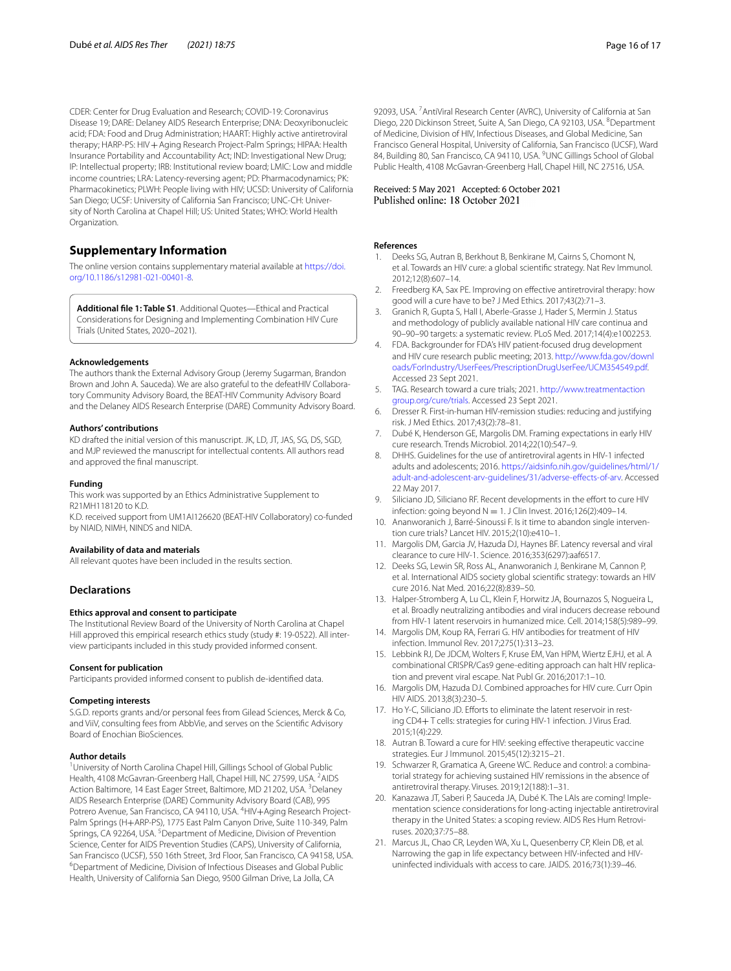CDER: Center for Drug Evaluation and Research; COVID-19: Coronavirus Disease 19; DARE: Delaney AIDS Research Enterprise; DNA: Deoxyribonucleic acid; FDA: Food and Drug Administration; HAART: Highly active antiretroviral therapy; HARP-PS: HIV + Aging Research Project-Palm Springs; HIPAA: Health Insurance Portability and Accountability Act; IND: Investigational New Drug; IP: Intellectual property; IRB: Institutional review board; LMIC: Low and middle income countries; LRA: Latency-reversing agent; PD: Pharmacodynamics; PK: Pharmacokinetics; PLWH: People living with HIV; UCSD: University of California San Diego; UCSF: University of California San Francisco; UNC-CH: University of North Carolina at Chapel Hill; US: United States; WHO: World Health Organization.

# **Supplementary Information**

The online version contains supplementary material available at [https://doi.](https://doi.org/10.1186/s12981-021-00401-8) [org/10.1186/s12981-021-00401-8](https://doi.org/10.1186/s12981-021-00401-8).

<span id="page-15-18"></span>**Additional fle 1: Table S1**. Additional Quotes—Ethical and Practical Considerations for Designing and Implementing Combination HIV Cure Trials (United States, 2020–2021).

#### **Acknowledgements**

The authors thank the External Advisory Group (Jeremy Sugarman, Brandon Brown and John A. Sauceda). We are also grateful to the defeatHIV Collaboratory Community Advisory Board, the BEAT-HIV Community Advisory Board and the Delaney AIDS Research Enterprise (DARE) Community Advisory Board.

#### **Authors' contributions**

KD drafted the initial version of this manuscript. JK, LD, JT, JAS, SG, DS, SGD, and MJP reviewed the manuscript for intellectual contents. All authors read and approved the fnal manuscript.

#### **Funding**

This work was supported by an Ethics Administrative Supplement to R21MH118120 to K.D.

K.D. received support from UM1AI126620 (BEAT-HIV Collaboratory) co-funded by NIAID, NIMH, NINDS and NIDA.

#### **Availability of data and materials**

All relevant quotes have been included in the results section.

#### **Declarations**

#### **Ethics approval and consent to participate**

The Institutional Review Board of the University of North Carolina at Chapel Hill approved this empirical research ethics study (study #: 19-0522). All interview participants included in this study provided informed consent.

#### **Consent for publication**

Participants provided informed consent to publish de-identifed data.

#### **Competing interests**

S.G.D. reports grants and/or personal fees from Gilead Sciences, Merck & Co, and ViiV, consulting fees from AbbVie, and serves on the Scientifc Advisory Board of Enochian BioSciences.

#### **Author details**

<sup>1</sup> University of North Carolina Chapel Hill, Gillings School of Global Public Health, 4108 McGavran-Greenberg Hall, Chapel Hill, NC 27599, USA. <sup>2</sup> AIDS Action Baltimore, 14 East Eager Street, Baltimore, MD 21202, USA. <sup>3</sup>Delaney AIDS Research Enterprise (DARE) Community Advisory Board (CAB), 995 Potrero Avenue, San Francisco, CA 94110, USA. <sup>4</sup>HIV+Aging Research Project-Palm Springs (H+ARP-PS), 1775 East Palm Canyon Drive, Suite 110-349, Palm Springs, CA 92264, USA.<sup>5</sup> Department of Medicine, Division of Prevention Science, Center for AIDS Prevention Studies (CAPS), University of California, San Francisco (UCSF), 550 16th Street, 3rd Floor, San Francisco, CA 94158, USA. <sup>6</sup>Department of Medicine, Division of Infectious Diseases and Global Public Health, University of California San Diego, 9500 Gilman Drive, La Jolla, CA

92093, USA.<sup>7</sup> AntiViral Research Center (AVRC), University of California at San Diego, 220 Dickinson Street, Suite A, San Diego, CA 92103, USA. <sup>8</sup>Department of Medicine, Division of HIV, Infectious Diseases, and Global Medicine, San Francisco General Hospital, University of California, San Francisco (UCSF), Ward 84, Building 80, San Francisco, CA 94110, USA. <sup>9</sup>UNC Gillings School of Global Public Health, 4108 McGavran-Greenberg Hall, Chapel Hill, NC 27516, USA.

# Received: 5 May 2021 Accepted: 6 October 2021<br>Published online: 18 October 2021

#### **References**

- <span id="page-15-0"></span>1. Deeks SG, Autran B, Berkhout B, Benkirane M, Cairns S, Chomont N, et al. Towards an HIV cure: a global scientifc strategy. Nat Rev Immunol. 2012;12(8):607–14.
- 2. Freedberg KA, Sax PE. Improving on efective antiretroviral therapy: how good will a cure have to be? J Med Ethics. 2017;43(2):71–3.
- <span id="page-15-1"></span>3. Granich R, Gupta S, Hall I, Aberle-Grasse J, Hader S, Mermin J. Status and methodology of publicly available national HIV care continua and 90–90–90 targets: a systematic review. PLoS Med. 2017;14(4):e1002253.
- <span id="page-15-2"></span>4. FDA. Backgrounder for FDA's HIV patient-focused drug development and HIV cure research public meeting; 2013. [http://www.fda.gov/downl](http://www.fda.gov/downloads/ForIndustry/UserFees/PrescriptionDrugUserFee/UCM354549.pdf) [oads/ForIndustry/UserFees/PrescriptionDrugUserFee/UCM354549.pdf.](http://www.fda.gov/downloads/ForIndustry/UserFees/PrescriptionDrugUserFee/UCM354549.pdf) Accessed 23 Sept 2021.
- <span id="page-15-3"></span>5. TAG. Research toward a cure trials; 2021. [http://www.treatmentaction](http://www.treatmentactiongroup.org/cure/trials) [group.org/cure/trials.](http://www.treatmentactiongroup.org/cure/trials) Accessed 23 Sept 2021.
- <span id="page-15-4"></span>6. Dresser R. First-in-human HIV-remission studies: reducing and justifying risk. J Med Ethics. 2017;43(2):78–81.
- <span id="page-15-5"></span>7. Dubé K, Henderson GE, Margolis DM. Framing expectations in early HIV cure research. Trends Microbiol. 2014;22(10):547–9.
- <span id="page-15-6"></span>8. DHHS. Guidelines for the use of antiretroviral agents in HIV-1 infected adults and adolescents; 2016. [https://aidsinfo.nih.gov/guidelines/html/1/](https://aidsinfo.nih.gov/guidelines/html/1/adult-and-adolescent-arv-guidelines/31/adverse-effects-of-arv) [adult-and-adolescent-arv-guidelines/31/adverse-efects-of-arv](https://aidsinfo.nih.gov/guidelines/html/1/adult-and-adolescent-arv-guidelines/31/adverse-effects-of-arv). Accessed 22 May 2017.
- <span id="page-15-7"></span>9. Siliciano JD, Siliciano RF. Recent developments in the effort to cure HIV infection: going beyond  $N = 1$ . J Clin Invest. 2016;126(2):409-14.
- <span id="page-15-8"></span>10. Ananworanich J, Barré-Sinoussi F. Is it time to abandon single intervention cure trials? Lancet HIV. 2015;2(10):e410–1.
- <span id="page-15-13"></span>11. Margolis DM, Garcia JV, Hazuda DJ, Haynes BF. Latency reversal and viral clearance to cure HIV-1. Science. 2016;353(6297):aaf6517.
- <span id="page-15-9"></span>12. Deeks SG, Lewin SR, Ross AL, Ananworanich J, Benkirane M, Cannon P, et al. International AIDS society global scientifc strategy: towards an HIV cure 2016. Nat Med. 2016;22(8):839–50.
- <span id="page-15-10"></span>13. Halper-Stromberg A, Lu CL, Klein F, Horwitz JA, Bournazos S, Nogueira L, et al. Broadly neutralizing antibodies and viral inducers decrease rebound from HIV-1 latent reservoirs in humanized mice. Cell. 2014;158(5):989–99.
- <span id="page-15-11"></span>14. Margolis DM, Koup RA, Ferrari G. HIV antibodies for treatment of HIV infection. Immunol Rev. 2017;275(1):313–23.
- <span id="page-15-12"></span>15. Lebbink RJ, De JDCM, Wolters F, Kruse EM, Van HPM, Wiertz EJHJ, et al. A combinational CRISPR/Cas9 gene-editing approach can halt HIV replication and prevent viral escape. Nat Publ Gr. 2016;2017:1–10.
- <span id="page-15-14"></span>16. Margolis DM, Hazuda DJ. Combined approaches for HIV cure. Curr Opin HIV AIDS. 2013;8(3):230–5.
- 17. Ho Y-C, Siliciano JD. Efforts to eliminate the latent reservoir in resting CD4+ T cells: strategies for curing HIV-1 infection. J Virus Erad. 2015;1(4):229.
- 18. Autran B. Toward a cure for HIV: seeking effective therapeutic vaccine strategies. Eur J Immunol. 2015;45(12):3215–21.
- <span id="page-15-15"></span>19. Schwarzer R, Gramatica A, Greene WC. Reduce and control: a combinatorial strategy for achieving sustained HIV remissions in the absence of antiretroviral therapy. Viruses. 2019;12(188):1–31.
- <span id="page-15-16"></span>20. Kanazawa JT, Saberi P, Sauceda JA, Dubé K. The LAIs are coming! Implementation science considerations for long-acting injectable antiretroviral therapy in the United States: a scoping review. AIDS Res Hum Retroviruses. 2020;37:75–88.
- <span id="page-15-17"></span>21. Marcus JL, Chao CR, Leyden WA, Xu L, Quesenberry CP, Klein DB, et al. Narrowing the gap in life expectancy between HIV-infected and HIVuninfected individuals with access to care. JAIDS. 2016;73(1):39–46.